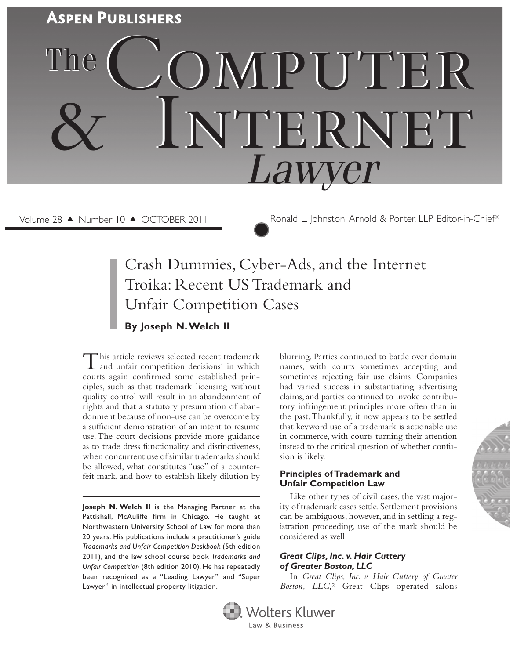

Volume 28 ▲ Number 10 ▲ OCTOBER 2011 Ronald L. Johnston, Arnold & Porter, LLP Editor-in-Chief\*

# Crash Dummies, Cyber-Ads, and the Internet Troika: Recent US Trademark and Unfair Competition Cases **By Joseph N. Welch II**

This article reviews selected recent trademark<br>and unfair competition decisions<sup>1</sup> in which courts again confirmed some established principles, such as that trademark licensing without quality control will result in an abandonment of rights and that a statutory presumption of abandonment because of non-use can be overcome by a sufficient demonstration of an intent to resume use. The court decisions provide more guidance as to trade dress functionality and distinctiveness, when concurrent use of similar trademarks should be allowed, what constitutes "use" of a counterfeit mark, and how to establish likely dilution by

**Joseph N. Welch II** is the Managing Partner at the Pattishall, McAuliffe firm in Chicago. He taught at Northwestern University School of Law for more than 20 years. His publications include a practitioner's guide *Trademarks and Unfair Competition Deskbook* (5th edition 2011), and the law school course book *Trademarks and Unfair Competition* (8th edition 2010). He has repeatedly been recognized as a "Leading Lawyer" and "Super Lawyer" in intellectual property litigation.

blurring. Parties continued to battle over domain names, with courts sometimes accepting and sometimes rejecting fair use claims. Companies had varied success in substantiating advertising claims, and parties continued to invoke contributory infringement principles more often than in the past. Thankfully, it now appears to be settled that keyword use of a trademark is actionable use in commerce, with courts turning their attention instead to the critical question of whether confusion is likely.

#### **Principles of Trademark and Unfair Competition Law**

Like other types of civil cases, the vast majority of trademark cases settle. Settlement provisions can be ambiguous, however, and in settling a registration proceeding, use of the mark should be considered as well.

# *Great Clips, Inc. v. Hair Cuttery of Greater Boston, LLC*

In *Great Clips, Inc. v. Hair Cuttery of Greater Boston, LLC,*2 Great Clips operated salons



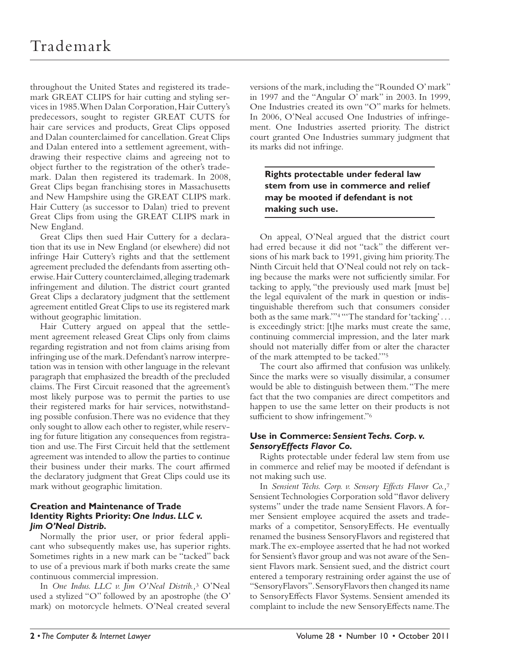throughout the United States and registered its trademark GREAT CLIPS for hair cutting and styling services in 1985. When Dalan Corporation, Hair Cuttery's predecessors, sought to register GREAT CUTS for hair care services and products, Great Clips opposed and Dalan counterclaimed for cancellation. Great Clips and Dalan entered into a settlement agreement, withdrawing their respective claims and agreeing not to object further to the registration of the other's trademark. Dalan then registered its trademark. In 2008, Great Clips began franchising stores in Massachusetts and New Hampshire using the GREAT CLIPS mark. Hair Cuttery (as successor to Dalan) tried to prevent Great Clips from using the GREAT CLIPS mark in New England.

Great Clips then sued Hair Cuttery for a declaration that its use in New England (or elsewhere) did not infringe Hair Cuttery's rights and that the settlement agreement precluded the defendants from asserting otherwise. Hair Cuttery counterclaimed, alleging trademark infringement and dilution. The district court granted Great Clips a declaratory judgment that the settlement agreement entitled Great Clips to use its registered mark without geographic limitation.

Hair Cuttery argued on appeal that the settlement agreement released Great Clips only from claims regarding registration and not from claims arising from infringing use of the mark. Defendant's narrow interpretation was in tension with other language in the relevant paragraph that emphasized the breadth of the precluded claims. The First Circuit reasoned that the agreement's most likely purpose was to permit the parties to use their registered marks for hair services, notwithstanding possible confusion. There was no evidence that they only sought to allow each other to register, while reserving for future litigation any consequences from registration and use. The First Circuit held that the settlement agreement was intended to allow the parties to continue their business under their marks. The court affirmed the declaratory judgment that Great Clips could use its mark without geographic limitation.

# **Creation and Maintenance of Trade Identity Rights Priority:** *One Indus. LLC v. Jim O'Neal Distrib.*

Normally the prior user, or prior federal applicant who subsequently makes use, has superior rights. Sometimes rights in a new mark can be "tacked" back to use of a previous mark if both marks create the same continuous commercial impression.

In *One Indus. LLC v. Jim O'Neal Distrib.,*3 O'Neal used a stylized "O" followed by an apostrophe (the O' mark) on motorcycle helmets. O'Neal created several

versions of the mark, including the "Rounded O' mark" in 1997 and the "Angular O' mark" in 2003. In 1999, One Industries created its own "O" marks for helmets. In 2006, O'Neal accused One Industries of infringement. One Industries asserted priority. The district court granted One Industries summary judgment that its marks did not infringe.

**Rights protectable under federal law stem from use in commerce and relief may be mooted if defendant is not making such use.** 

On appeal, O'Neal argued that the district court had erred because it did not "tack" the different versions of his mark back to 1991, giving him priority. The Ninth Circuit held that O'Neal could not rely on tacking because the marks were not sufficiently similar. For tacking to apply, "the previously used mark [must be] the legal equivalent of the mark in question or indistinguishable therefrom such that consumers consider both as the same mark."<sup>4</sup> "The standard for 'tacking'... is exceedingly strict: [t]he marks must create the same, continuing commercial impression, and the later mark should not materially differ from or alter the character of the mark attempted to be tacked."<sup>5</sup>

The court also affirmed that confusion was unlikely. Since the marks were so visually dissimilar, a consumer would be able to distinguish between them. "The mere fact that the two companies are direct competitors and happen to use the same letter on their products is not sufficient to show infringement."<sup>6</sup>

# **Use in Commerce:** *Sensient Techs. Corp. v. SensoryEffects Flavor Co.*

Rights protectable under federal law stem from use in commerce and relief may be mooted if defendant is not making such use.

In *Sensient Techs. Corp. v. Sensory Effects Flavor Co.,*<sup>7</sup> Sensient Technologies Corporation sold "flavor delivery systems" under the trade name Sensient Flavors. A former Sensient employee acquired the assets and trademarks of a competitor, SensoryEffects. He eventually renamed the business SensoryFlavors and registered that mark. The ex-employee asserted that he had not worked for Sensient's flavor group and was not aware of the Sensient Flavors mark. Sensient sued, and the district court entered a temporary restraining order against the use of "SensoryFlavors". SensoryFlavors then changed its name to SensoryEffects Flavor Systems. Sensient amended its complaint to include the new SensoryEffects name. The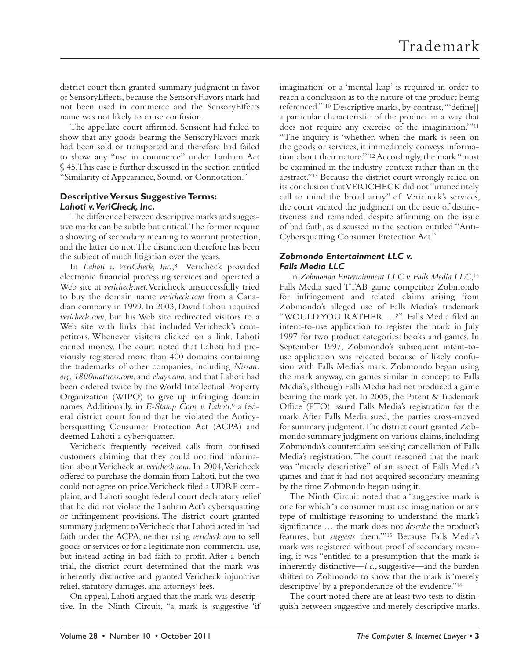district court then granted summary judgment in favor of SensoryEffects, because the SensoryFlavors mark had not been used in commerce and the SensoryEffects name was not likely to cause confusion.

The appellate court affirmed. Sensient had failed to show that any goods bearing the SensoryFlavors mark had been sold or transported and therefore had failed to show any "use in commerce" under Lanham Act § 45. This case is further discussed in the section entitled "Similarity of Appearance, Sound, or Connotation."

# **Descriptive Versus Suggestive Terms:**  *Lahoti v. VeriCheck, Inc.*

The difference between descriptive marks and suggestive marks can be subtle but critical. The former require a showing of secondary meaning to warrant protection, and the latter do not. The distinction therefore has been the subject of much litigation over the years.

In *Lahoti v. VeriCheck, Inc.*,<sup>8</sup> Vericheck provided electronic financial processing services and operated a Web site at *vericheck.net*. Vericheck unsuccessfully tried to buy the domain name *vericheck.com* from a Canadian company in 1999. In 2003, David Lahoti acquired *vericheck.com*, but his Web site redirected visitors to a Web site with links that included Vericheck's competitors. Whenever visitors clicked on a link, Lahoti earned money. The court noted that Lahoti had previously registered more than 400 domains containing the trademarks of other companies, including *Nissan. org*, *1800mattress.com*, and *ebays.com*, and that Lahoti had been ordered twice by the World Intellectual Property Organization (WIPO) to give up infringing domain names. Additionally, in *E-Stamp Corp. v. Lahoti*,<sup>9</sup> a federal district court found that he violated the Anticybersquatting Consumer Protection Act (ACPA) and deemed Lahoti a cybersquatter.

Vericheck frequently received calls from confused customers claiming that they could not find information about Vericheck at *vericheck.com*. In 2004, Vericheck offered to purchase the domain from Lahoti, but the two could not agree on price. Vericheck filed a UDRP complaint, and Lahoti sought federal court declaratory relief that he did not violate the Lanham Act's cybersquatting or infringement provisions. The district court granted summary judgment to Vericheck that Lahoti acted in bad faith under the ACPA, neither using *vericheck.com* to sell goods or services or for a legitimate non-commercial use, but instead acting in bad faith to profit. After a bench trial, the district court determined that the mark was inherently distinctive and granted Vericheck injunctive relief, statutory damages, and attorneys' fees.

On appeal, Lahoti argued that the mark was descriptive. In the Ninth Circuit, "a mark is suggestive 'if imagination' or a 'mental leap' is required in order to reach a conclusion as to the nature of the product being referenced."<sup>10</sup> Descriptive marks, by contrast, "'define[] a particular characteristic of the product in a way that does not require any exercise of the imagination."<sup>11</sup> "The inquiry is 'whether, when the mark is seen on the goods or services, it immediately conveys information about their nature.'" 12 Accordingly, the mark "must be examined in the industry context rather than in the abstract."<sup>13</sup> Because the district court wrongly relied on its conclusion that VERICHECK did not "immediately call to mind the broad array" of Vericheck's services, the court vacated the judgment on the issue of distinctiveness and remanded, despite affirming on the issue of bad faith, as discussed in the section entitled "Anti-Cybersquatting Consumer Protection Act."

# *Zobmondo Entertainment LLC v. Falls Media LLC*

In *Zobmondo Entertainment LLC v. Falls Media LLC*, 14 Falls Media sued TTAB game competitor Zobmondo for infringement and related claims arising from Zobmondo's alleged use of Falls Media's trademark "WOULD YOU RATHER ...?". Falls Media filed an intent-to-use application to register the mark in July 1997 for two product categories: books and games. In September 1997, Zobmondo's subsequent intent-touse application was rejected because of likely confusion with Falls Media's mark. Zobmondo began using the mark anyway, on games similar in concept to Falls Media's, although Falls Media had not produced a game bearing the mark yet. In 2005, the Patent & Trademark Office (PTO) issued Falls Media's registration for the mark. After Falls Media sued, the parties cross-moved for summary judgment. The district court granted Zobmondo summary judgment on various claims, including Zobmondo's counterclaim seeking cancellation of Falls Media's registration. The court reasoned that the mark was "merely descriptive" of an aspect of Falls Media's games and that it had not acquired secondary meaning by the time Zobmondo began using it.

The Ninth Circuit noted that a "suggestive mark is one for which 'a consumer must use imagination or any type of multistage reasoning to understand the mark's significance ... the mark does not *describe* the product's features, but *suggests* them."<sup>15</sup> Because Falls Media's mark was registered without proof of secondary meaning, it was "entitled to a presumption that the mark is inherently distinctive—*i.e.*, suggestive—and the burden shifted to Zobmondo to show that the mark is 'merely descriptive' by a preponderance of the evidence."<sup>16</sup>

The court noted there are at least two tests to distinguish between suggestive and merely descriptive marks.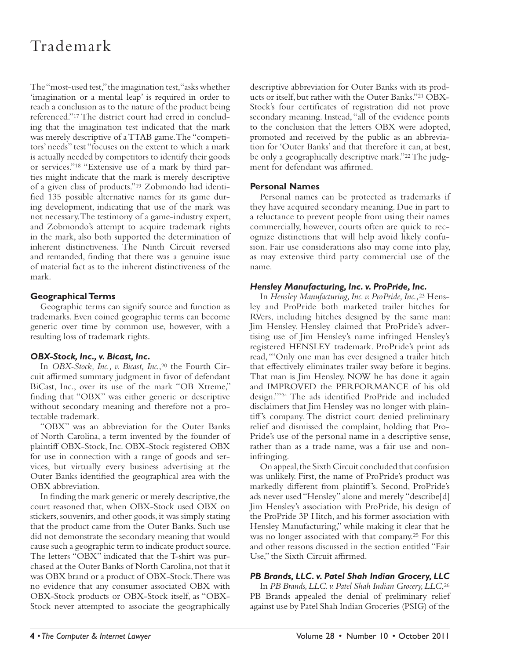The "most-used test," the imagination test, "asks whether 'imagination or a mental leap' is required in order to reach a conclusion as to the nature of the product being referenced."<sup>17</sup> The district court had erred in concluding that the imagination test indicated that the mark was merely descriptive of a TTAB game. The "competitors' needs" test "focuses on the extent to which a mark is actually needed by competitors to identify their goods or services." 18 "Extensive use of a mark by third parties might indicate that the mark is merely descriptive of a given class of products."<sup>19</sup> Zobmondo had identified 135 possible alternative names for its game during development, indicating that use of the mark was not necessary. The testimony of a game-industry expert, and Zobmondo's attempt to acquire trademark rights in the mark, also both supported the determination of inherent distinctiveness. The Ninth Circuit reversed and remanded, finding that there was a genuine issue of material fact as to the inherent distinctiveness of the mark.

# **Geographical Terms**

Geographic terms can signify source and function as trademarks. Even coined geographic terms can become generic over time by common use, however, with a resulting loss of trademark rights.

# *OBX-Stock, Inc., v. Bicast, Inc.*

In *OBX-Stock, Inc., v. Bicast, Inc.*,<sup>20</sup> the Fourth Circuit affirmed summary judgment in favor of defendant BiCast, Inc., over its use of the mark "OB Xtreme," finding that "OBX" was either generic or descriptive without secondary meaning and therefore not a protectable trademark.

"OBX" was an abbreviation for the Outer Banks of North Carolina, a term invented by the founder of plaintiff OBX-Stock, Inc. OBX-Stock registered OBX for use in connection with a range of goods and services, but virtually every business advertising at the Outer Banks identified the geographical area with the OBX abbreviation.

In finding the mark generic or merely descriptive, the court reasoned that, when OBX-Stock used OBX on stickers, souvenirs, and other goods, it was simply stating that the product came from the Outer Banks. Such use did not demonstrate the secondary meaning that would cause such a geographic term to indicate product source. The letters "OBX" indicated that the T-shirt was purchased at the Outer Banks of North Carolina, not that it was OBX brand or a product of OBX-Stock. There was no evidence that any consumer associated OBX with OBX-Stock products or OBX-Stock itself, as "OBX-Stock never attempted to associate the geographically

descriptive abbreviation for Outer Banks with its products or itself, but rather with the Outer Banks."21 OBX-Stock's four certificates of registration did not prove secondary meaning. Instead, "all of the evidence points to the conclusion that the letters OBX were adopted, promoted and received by the public as an abbreviation for 'Outer Banks' and that therefore it can, at best, be only a geographically descriptive mark."<sup>22</sup> The judgment for defendant was affirmed.

# **Personal Names**

Personal names can be protected as trademarks if they have acquired secondary meaning. Due in part to a reluctance to prevent people from using their names commercially, however, courts often are quick to recognize distinctions that will help avoid likely confusion. Fair use considerations also may come into play, as may extensive third party commercial use of the name.

# *Hensley Manufacturing, Inc. v. ProPride, Inc.*

In *Hensley Manufacturing, Inc. v. ProPride, Inc.,*23 Hensley and ProPride both marketed trailer hitches for RVers, including hitches designed by the same man: Jim Hensley. Hensley claimed that ProPride's advertising use of Jim Hensley's name infringed Hensley's registered HENSLEY trademark. ProPride's print ads read, "'Only one man has ever designed a trailer hitch that effectively eliminates trailer sway before it begins. That man is Jim Hensley. NOW he has done it again and IMPROVED the PERFORMANCE of his old design."<sup>24</sup> The ads identified ProPride and included disclaimers that Jim Hensley was no longer with plaintiff 's company. The district court denied preliminary relief and dismissed the complaint, holding that Pro-Pride's use of the personal name in a descriptive sense, rather than as a trade name, was a fair use and noninfringing.

On appeal, the Sixth Circuit concluded that confusion was unlikely. First, the name of ProPride's product was markedly different from plaintiff's. Second, ProPride's ads never used "Hensley" alone and merely "describe[d] Jim Hensley's association with ProPride, his design of the ProPride 3P Hitch, and his former association with Hensley Manufacturing," while making it clear that he was no longer associated with that company.<sup>25</sup> For this and other reasons discussed in the section entitled "Fair Use," the Sixth Circuit affirmed.

# *PB Brands, LLC. v. Patel Shah Indian Grocery, LLC*

In *PB Brands, LLC. v. Patel Shah Indian Grocery, LLC*, 26 PB Brands appealed the denial of preliminary relief against use by Patel Shah Indian Groceries (PSIG) of the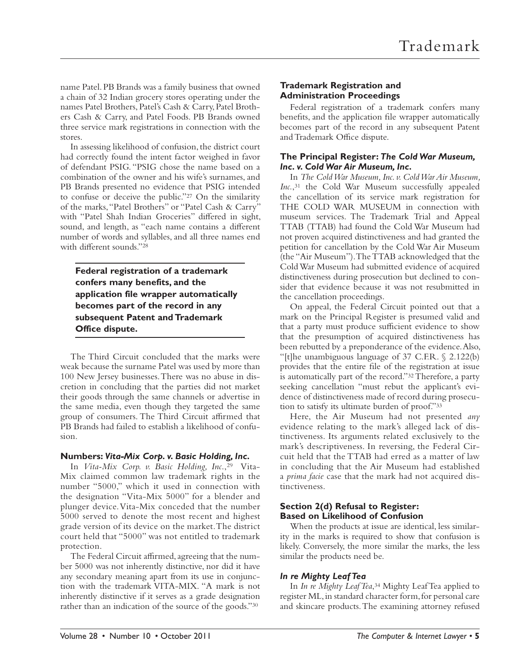name Patel. PB Brands was a family business that owned a chain of 32 Indian grocery stores operating under the names Patel Brothers, Patel's Cash & Carry, Patel Brothers Cash & Carry, and Patel Foods. PB Brands owned three service mark registrations in connection with the stores.

In assessing likelihood of confusion, the district court had correctly found the intent factor weighed in favor of defendant PSIG. "PSIG chose the name based on a combination of the owner and his wife's surnames, and PB Brands presented no evidence that PSIG intended to confuse or deceive the public."<sup>27</sup> On the similarity of the marks, "Patel Brothers" or "Patel Cash & Carry" with "Patel Shah Indian Groceries" differed in sight, sound, and length, as "each name contains a different number of words and syllables, and all three names end with different sounds."<sup>28</sup>

**Federal registration of a trademark confers many benefits, and the application file wrapper automatically becomes part of the record in any subsequent Patent and Trademark Office dispute.**

The Third Circuit concluded that the marks were weak because the surname Patel was used by more than 100 New Jersey businesses. There was no abuse in discretion in concluding that the parties did not market their goods through the same channels or advertise in the same media, even though they targeted the same group of consumers. The Third Circuit affirmed that PB Brands had failed to establish a likelihood of confusion.

#### **Numbers:** *Vita-Mix Corp. v. Basic Holding, Inc.*

In Vita-Mix Corp. v. Basic Holding, Inc.,<sup>29</sup> Vita-Mix claimed common law trademark rights in the number "5000," which it used in connection with the designation "Vita-Mix 5000" for a blender and plunger device. Vita-Mix conceded that the number 5000 served to denote the most recent and highest grade version of its device on the market. The district court held that "5000" was not entitled to trademark protection.

The Federal Circuit affirmed, agreeing that the number 5000 was not inherently distinctive, nor did it have any secondary meaning apart from its use in conjunction with the trademark VITA-MIX. "A mark is not inherently distinctive if it serves as a grade designation rather than an indication of the source of the goods."30

# **Trademark Registration and Administration Proceedings**

Federal registration of a trademark confers many benefits, and the application file wrapper automatically becomes part of the record in any subsequent Patent and Trademark Office dispute.

# **The Principal Register:** *The Cold War Museum, Inc. v. Cold War Air Museum, Inc.*

In *The Cold War Museum, Inc. v. Cold War Air Museum,*  Inc.,<sup>31</sup> the Cold War Museum successfully appealed the cancellation of its service mark registration for THE COLD WAR MUSEUM in connection with museum services. The Trademark Trial and Appeal TTAB (TTAB) had found the Cold War Museum had not proven acquired distinctiveness and had granted the petition for cancellation by the Cold War Air Museum (the "Air Museum"). The TTAB acknowledged that the Cold War Museum had submitted evidence of acquired distinctiveness during prosecution but declined to consider that evidence because it was not resubmitted in the cancellation proceedings.

On appeal, the Federal Circuit pointed out that a mark on the Principal Register is presumed valid and that a party must produce sufficient evidence to show that the presumption of acquired distinctiveness has been rebutted by a preponderance of the evidence. Also, "[t]he unambiguous language of 37 C.F.R. § 2.122(b) provides that the entire file of the registration at issue is automatically part of the record." 32 Therefore, a party seeking cancellation "must rebut the applicant's evidence of distinctiveness made of record during prosecution to satisfy its ultimate burden of proof."33

Here, the Air Museum had not presented *any* evidence relating to the mark's alleged lack of distinctiveness. Its arguments related exclusively to the mark's descriptiveness. In reversing, the Federal Circuit held that the TTAB had erred as a matter of law in concluding that the Air Museum had established a *prima facie* case that the mark had not acquired distinctiveness.

# **Section 2(d) Refusal to Register: Based on Likelihood of Confusion**

When the products at issue are identical, less similarity in the marks is required to show that confusion is likely. Conversely, the more similar the marks, the less similar the products need be.

# *In re Mighty Leaf Tea*

In *In re Mighty Leaf Tea*, 34 Mighty Leaf Tea applied to register ML, in standard character form, for personal care and skincare products. The examining attorney refused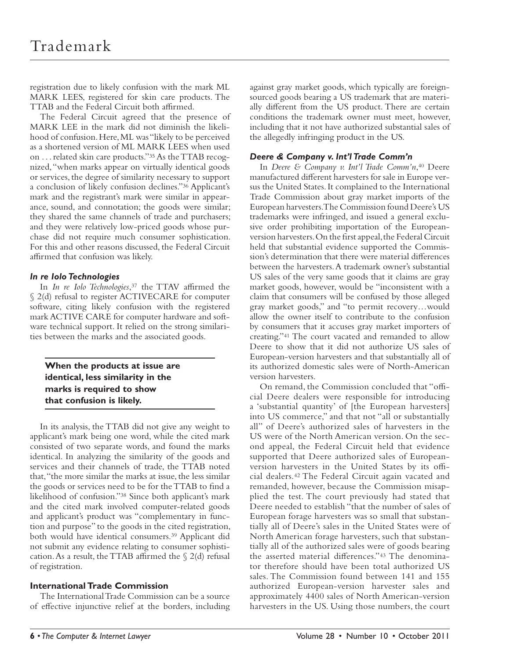registration due to likely confusion with the mark ML MARK LEES, registered for skin care products. The TTAB and the Federal Circuit both affirmed.

The Federal Circuit agreed that the presence of MARK LEE in the mark did not diminish the likelihood of confusion. Here, ML was "likely to be perceived as a shortened version of ML MARK LEES when used on . . . related skin care products." 35 As the TTAB recognized, "when marks appear on virtually identical goods or services, the degree of similarity necessary to support a conclusion of likely confusion declines." 36 Applicant's mark and the registrant's mark were similar in appearance, sound, and connotation; the goods were similar; they shared the same channels of trade and purchasers; and they were relatively low-priced goods whose purchase did not require much consumer sophistication. For this and other reasons discussed, the Federal Circuit affirmed that confusion was likely.

# *In re Iolo Technologies*

In *In re Iolo Technologies*,<sup>37</sup> the TTAV affirmed the § 2(d) refusal to register ACTIVECARE for computer software, citing likely confusion with the registered mark ACTIVE CARE for computer hardware and software technical support. It relied on the strong similarities between the marks and the associated goods.

**When the products at issue are identical, less similarity in the marks is required to show that confusion is likely.**

In its analysis, the TTAB did not give any weight to applicant's mark being one word, while the cited mark consisted of two separate words, and found the marks identical. In analyzing the similarity of the goods and services and their channels of trade, the TTAB noted that, "the more similar the marks at issue, the less similar the goods or services need to be for the TTAB to find a likelihood of confusion." 38 Since both applicant's mark and the cited mark involved computer-related goods and applicant's product was "complementary in function and purpose" to the goods in the cited registration, both would have identical consumers. 39 Applicant did not submit any evidence relating to consumer sophistication. As a result, the TTAB affirmed the  $\S$  2(d) refusal of registration.

# **International Trade Commission**

The International Trade Commission can be a source of effective injunctive relief at the borders, including against gray market goods, which typically are foreignsourced goods bearing a US trademark that are materially different from the US product. There are certain conditions the trademark owner must meet, however, including that it not have authorized substantial sales of the allegedly infringing product in the US.

# *Deere & Company v. Int'l Trade Comm'n*

In *Deere & Company v. Int'l Trade Comm'n*, 40 Deere manufactured different harvesters for sale in Europe versus the United States. It complained to the International Trade Commission about gray market imports of the European harvesters. The Commission found Deere's US trademarks were infringed, and issued a general exclusive order prohibiting importation of the Europeanversion harvesters. On the first appeal, the Federal Circuit held that substantial evidence supported the Commission's determination that there were material differences between the harvesters. A trademark owner's substantial US sales of the very same goods that it claims are gray market goods, however, would be "inconsistent with a claim that consumers will be confused by those alleged gray market goods," and "to permit recovery…would allow the owner itself to contribute to the confusion by consumers that it accuses gray market importers of creating." 41 The court vacated and remanded to allow Deere to show that it did not authorize US sales of European-version harvesters and that substantially all of its authorized domestic sales were of North-American version harvesters.

On remand, the Commission concluded that "official Deere dealers were responsible for introducing a 'substantial quantity' of [the European harvesters] into US commerce," and that not "all or substantially all" of Deere's authorized sales of harvesters in the US were of the North American version. On the second appeal, the Federal Circuit held that evidence supported that Deere authorized sales of Europeanversion harvesters in the United States by its official dealers. 42 The Federal Circuit again vacated and remanded, however, because the Commission misapplied the test. The court previously had stated that Deere needed to establish "that the number of sales of European forage harvesters was so small that substantially all of Deere's sales in the United States were of North American forage harvesters, such that substantially all of the authorized sales were of goods bearing the asserted material differences."<sup>43</sup> The denominator therefore should have been total authorized US sales. The Commission found between 141 and 155 authorized European-version harvester sales and approximately 4400 sales of North American-version harvesters in the US. Using those numbers, the court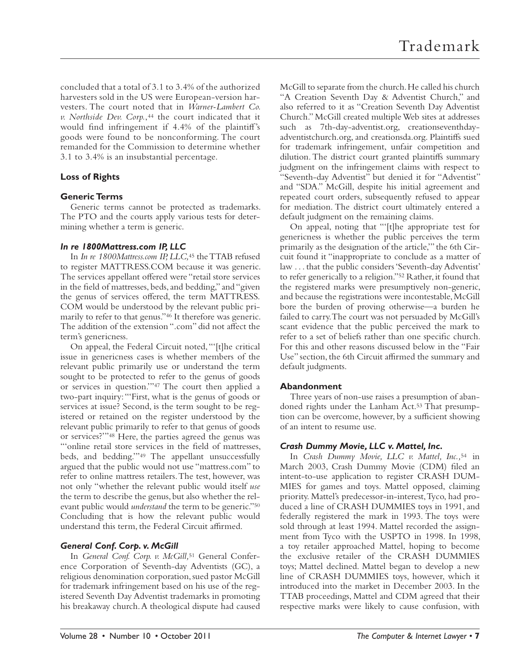concluded that a total of 3.1 to 3.4% of the authorized harvesters sold in the US were European-version harvesters. The court noted that in *Warner-Lambert Co. v. Northside Dev. Corp.*, 44 the court indicated that it would find infringement if 4.4% of the plaintiff's goods were found to be nonconforming. The court remanded for the Commission to determine whether 3.1 to 3.4% is an insubstantial percentage.

# **Loss of Rights**

# **Generic Terms**

Generic terms cannot be protected as trademarks. The PTO and the courts apply various tests for determining whether a term is generic.

#### *In re 1800Mattress.com IP, LLC*

In *In re 1800Mattress.com IP, LLC,*45 the TTAB refused to register MATTRESS.COM because it was generic. The services appellant offered were "retail store services" in the field of mattresses, beds, and bedding," and "given the genus of services offered, the term MATTRESS. COM would be understood by the relevant public primarily to refer to that genus." 46 It therefore was generic. The addition of the extension ".com" did not affect the term's genericness.

On appeal, the Federal Circuit noted, "'[t]he critical issue in genericness cases is whether members of the relevant public primarily use or understand the term sought to be protected to refer to the genus of goods or services in question."<sup>47</sup> The court then applied a two-part inquiry: "'First, what is the genus of goods or services at issue? Second, is the term sought to be registered or retained on the register understood by the relevant public primarily to refer to that genus of goods or services?""<sup>48</sup> Here, the parties agreed the genus was "'online retail store services in the field of mattresses, beds, and bedding."<sup>49</sup> The appellant unsuccessfully argued that the public would not use "mattress.com" to refer to online mattress retailers. The test, however, was not only "whether the relevant public would itself *use* the term to describe the genus, but also whether the relevant public would *understand* the term to be generic."<sup>50</sup> Concluding that is how the relevant public would understand this term, the Federal Circuit affirmed.

# *General Conf. Corp. v. McGill*

In *General Conf. Corp. v. McGill,*51 General Conference Corporation of Seventh-day Adventists (GC), a religious denomination corporation, sued pastor McGill for trademark infringement based on his use of the registered Seventh Day Adventist trademarks in promoting his breakaway church. A theological dispute had caused

McGill to separate from the church. He called his church "A Creation Seventh Day & Adventist Church," and also referred to it as "Creation Seventh Day Adventist Church." McGill created multiple Web sites at addresses such as 7th-day-adventist.org, creationseventhdayadventistchurch.org, and creationsda.org. Plaintiffs sued for trademark infringement, unfair competition and dilution. The district court granted plaintiffs summary judgment on the infringement claims with respect to "Seventh-day Adventist" but denied it for "Adventist" and "SDA." McGill, despite his initial agreement and repeated court orders, subsequently refused to appear for mediation. The district court ultimately entered a default judgment on the remaining claims.

On appeal, noting that "'[t]he appropriate test for genericness is whether the public perceives the term primarily as the designation of the article,'" the 6th Circuit found it "inappropriate to conclude as a matter of law . . . that the public considers 'Seventh-day Adventist' to refer generically to a religion."<sup>52</sup> Rather, it found that the registered marks were presumptively non-generic, and because the registrations were incontestable, McGill bore the burden of proving otherwise—a burden he failed to carry. The court was not persuaded by McGill's scant evidence that the public perceived the mark to refer to a set of beliefs rather than one specific church. For this and other reasons discussed below in the "Fair Use" section, the 6th Circuit affirmed the summary and default judgments.

# **Abandonment**

Three years of non-use raises a presumption of abandoned rights under the Lanham Act.<sup>53</sup> That presumption can be overcome, however, by a sufficient showing of an intent to resume use.

# *Crash Dummy Movie, LLC v. Mattel, Inc.*

In *Crash Dummy Movie, LLC v. Mattel, Inc.,*<sup>54</sup> in March 2003, Crash Dummy Movie (CDM) filed an intent-to-use application to register CRASH DUM-MIES for games and toys. Mattel opposed, claiming priority. Mattel's predecessor-in-interest, Tyco, had produced a line of CRASH DUMMIES toys in 1991, and federally registered the mark in 1993. The toys were sold through at least 1994. Mattel recorded the assignment from Tyco with the USPTO in 1998. In 1998, a toy retailer approached Mattel, hoping to become the exclusive retailer of the CRASH DUMMIES toys; Mattel declined. Mattel began to develop a new line of CRASH DUMMIES toys, however, which it introduced into the market in December 2003. In the TTAB proceedings, Mattel and CDM agreed that their respective marks were likely to cause confusion, with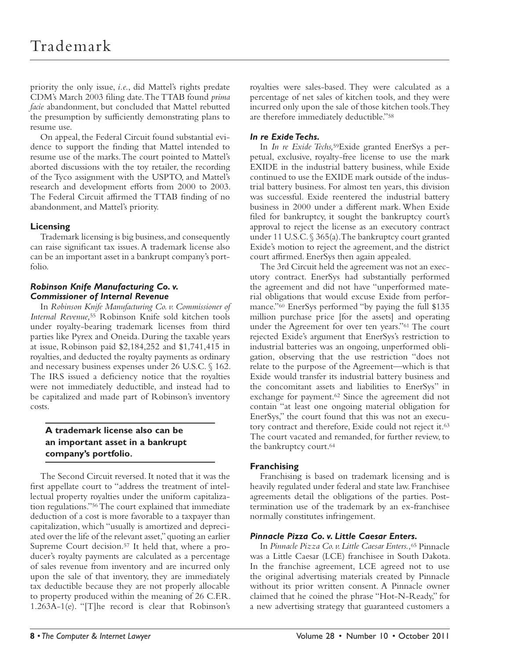priority the only issue, *i.e.*, did Mattel's rights predate CDM's March 2003 filing date. The TTAB found *prima facie* abandonment, but concluded that Mattel rebutted the presumption by sufficiently demonstrating plans to resume use.

On appeal, the Federal Circuit found substantial evidence to support the finding that Mattel intended to resume use of the marks. The court pointed to Mattel's aborted discussions with the toy retailer, the recording of the Tyco assignment with the USPTO, and Mattel's research and development efforts from 2000 to 2003. The Federal Circuit affirmed the TTAB finding of no abandonment, and Mattel's priority.

# **Licensing**

Trademark licensing is big business, and consequently can raise significant tax issues. A trademark license also can be an important asset in a bankrupt company's portfolio.

# *Robinson Knife Manufacturing Co. v. Commissioner of Internal Revenue*

In *Robinson Knife Manufacturing Co. v. Commissioner of Internal Revenue,*55 Robinson Knife sold kitchen tools under royalty-bearing trademark licenses from third parties like Pyrex and Oneida. During the taxable years at issue, Robinson paid \$2,184,252 and \$1,741,415 in royalties, and deducted the royalty payments as ordinary and necessary business expenses under 26 U.S.C. § 162. The IRS issued a deficiency notice that the royalties were not immediately deductible, and instead had to be capitalized and made part of Robinson's inventory costs.

# **A trademark license also can be an important asset in a bankrupt company's portfolio.**

The Second Circuit reversed. It noted that it was the first appellate court to "address the treatment of intellectual property royalties under the uniform capitalization regulations." 56 The court explained that immediate deduction of a cost is more favorable to a taxpayer than capitalization, which "usually is amortized and depreciated over the life of the relevant asset," quoting an earlier Supreme Court decision.<sup>57</sup> It held that, where a producer's royalty payments are calculated as a percentage of sales revenue from inventory and are incurred only upon the sale of that inventory, they are immediately tax deductible because they are not properly allocable to property produced within the meaning of 26 C.F.R. 1.263A-1(e). "[T]he record is clear that Robinson's royalties were sales-based. They were calculated as a percentage of net sales of kitchen tools, and they were incurred only upon the sale of those kitchen tools. They are therefore immediately deductible."<sup>58</sup>

# *In re Exide Techs.*

In *In re Exide Techs,*59Exide granted EnerSys a perpetual, exclusive, royalty-free license to use the mark EXIDE in the industrial battery business, while Exide continued to use the EXIDE mark outside of the industrial battery business. For almost ten years, this division was successful. Exide reentered the industrial battery business in 2000 under a different mark. When Exide filed for bankruptcy, it sought the bankruptcy court's approval to reject the license as an executory contract under 11 U.S.C. § 365(a). The bankruptcy court granted Exide's motion to reject the agreement, and the district court affirmed. EnerSys then again appealed.

The 3rd Circuit held the agreement was not an executory contract. EnerSys had substantially performed the agreement and did not have "unperformed material obligations that would excuse Exide from performance."<sup>60</sup> EnerSys performed "by paying the full \$135 million purchase price [for the assets] and operating under the Agreement for over ten years."<sup>61</sup> The court rejected Exide's argument that EnerSys's restriction to industrial batteries was an ongoing, unperformed obligation, observing that the use restriction "does not relate to the purpose of the Agreement—which is that Exide would transfer its industrial battery business and the concomitant assets and liabilities to EnerSys" in exchange for payment.<sup>62</sup> Since the agreement did not contain "at least one ongoing material obligation for EnerSys," the court found that this was not an executory contract and therefore, Exide could not reject it. 63 The court vacated and remanded, for further review, to the bankruptcy court. 64

# **Franchising**

Franchising is based on trademark licensing and is heavily regulated under federal and state law. Franchisee agreements detail the obligations of the parties. Posttermination use of the trademark by an ex-franchisee normally constitutes infringement.

# *Pinnacle Pizza Co. v. Little Caesar Enters.*

In *Pinnacle Pizza Co. v. Little Caesar Enters.,*65 Pinnacle was a Little Caesar (LCE) franchisee in South Dakota. In the franchise agreement, LCE agreed not to use the original advertising materials created by Pinnacle without its prior written consent. A Pinnacle owner claimed that he coined the phrase "Hot-N-Ready," for a new advertising strategy that guaranteed customers a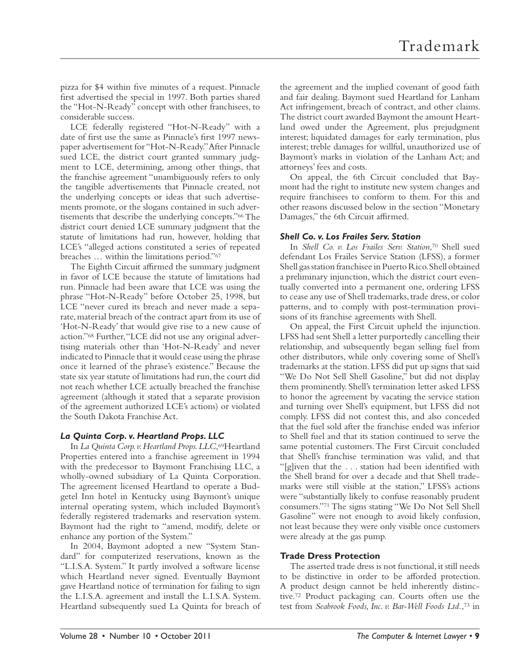pizza for \$4 within five minutes of a request. Pinnacle first advertised the special in 1997. Both parties shared the "Hot-N-Ready" concept with other franchisees, to considerable success.

LCE federally registered "Hot-N-Ready" with a date of first use the same as Pinnacle's first 1997 newspaper advertisement for "Hot-N-Ready." After Pinnacle sued LCE, the district court granted summary judgment to LCE, determining, among other things, that the franchise agreement "unambiguously refers to only the tangible advertisements that Pinnacle created, not the underlying concepts or ideas that such advertisements promote, or the slogans contained in such advertisements that describe the underlying concepts."<sup>66</sup> The district court denied LCE summary judgment that the statute of limitations had run, however, holding that LCE's "alleged actions constituted a series of repeated breaches ... within the limitations period."<sup>67</sup>

The Eighth Circuit affirmed the summary judgment in favor of LCE because the statute of limitations had run. Pinnacle had been aware that LCE was using the phrase "Hot-N-Ready" before October 25, 1998, but LCE "never cured its breach and never made a separate, material breach of the contract apart from its use of 'Hot-N-Ready' that would give rise to a new cause of action." 68 Further, "LCE did not use any original advertising materials other than 'Hot-N-Ready' and never indicated to Pinnacle that it would cease using the phrase once it learned of the phrase's existence." Because the state six year statute of limitations had run, the court did not reach whether LCE actually breached the franchise agreement (although it stated that a separate provision of the agreement authorized LCE's actions) or violated the South Dakota Franchise Act.

# *La Quinta Corp. v. Heartland Props. LLC*

In *La Quinta Corp. v. Heartland Props. LLC*, 69Heartland Properties entered into a franchise agreement in 1994 with the predecessor to Baymont Franchising LLC, a wholly-owned subsidiary of La Quinta Corporation. The agreement licensed Heartland to operate a Budgetel Inn hotel in Kentucky using Baymont's unique internal operating system, which included Baymont's federally registered trademarks and reservation system. Baymont had the right to "amend, modify, delete or enhance any portion of the System."

In 2004, Baymont adopted a new "System Standard" for computerized reservations, known as the "L.I.S.A. System." It partly involved a software license which Heartland never signed. Eventually Baymont gave Heartland notice of termination for failing to sign the L.I.S.A. agreement and install the L.I.S.A. System. Heartland subsequently sued La Quinta for breach of the agreement and the implied covenant of good faith and fair dealing. Baymont sued Heartland for Lanham Act infringement, breach of contract, and other claims. The district court awarded Baymont the amount Heartland owed under the Agreement, plus prejudgment interest; liquidated damages for early termination, plus interest; treble damages for willful, unauthorized use of Baymont's marks in violation of the Lanham Act; and attorneys' fees and costs.

On appeal, the 6th Circuit concluded that Baymont had the right to institute new system changes and require franchisees to conform to them. For this and other reasons discussed below in the section "Monetary Damages," the 6th Circuit affirmed.

#### *Shell Co. v. Los Frailes Serv. Station*

In *Shell Co. v. Los Frailes Serv. Station*,<sup>70</sup> Shell sued defendant Los Frailes Service Station (LFSS), a former Shell gas station franchisee in Puerto Rico. Shell obtained a preliminary injunction, which the district court eventually converted into a permanent one, ordering LFSS to cease any use of Shell trademarks, trade dress, or color patterns, and to comply with post-termination provisions of its franchise agreements with Shell.

On appeal, the First Circuit upheld the injunction. LFSS had sent Shell a letter purportedly cancelling their relationship, and subsequently began selling fuel from other distributors, while only covering some of Shell's trademarks at the station. LFSS did put up signs that said "We Do Not Sell Shell Gasoline," but did not display them prominently. Shell's termination letter asked LFSS to honor the agreement by vacating the service station and turning over Shell's equipment, but LFSS did not comply. LFSS did not contest this, and also conceded that the fuel sold after the franchise ended was inferior to Shell fuel and that its station continued to serve the same potential customers. The First Circuit concluded that Shell's franchise termination was valid, and that "[g]iven that the ... station had been identified with the Shell brand for over a decade and that Shell trademarks were still visible at the station," LFSS's actions were "substantially likely to confuse reasonably prudent consumers."<sup>71</sup> The signs stating "We Do Not Sell Shell Gasoline" were not enough to avoid likely confusion, not least because they were only visible once customers were already at the gas pump.

# **Trade Dress Protection**

The asserted trade dress is not functional, it still needs to be distinctive in order to be afforded protection. A product design cannot be held inherently distinctive. 72 Product packaging can. Courts often use the test from *Seabrook Foods, Inc. v. Bar-Well Foods Ltd.*, 73 in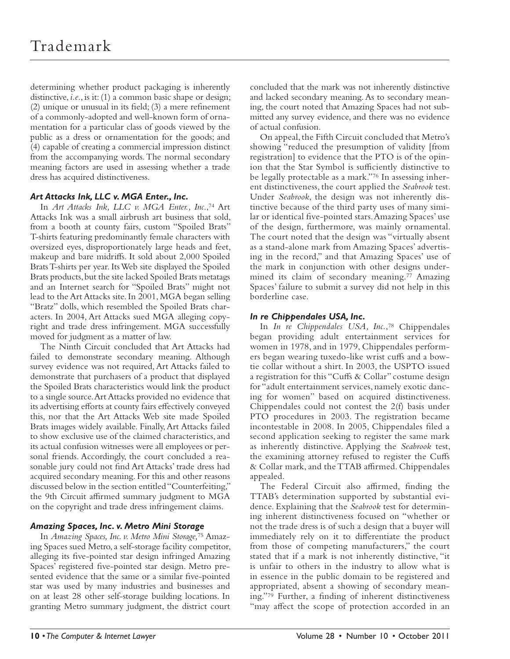determining whether product packaging is inherently distinctive, *i.e*., is it: (1) a common basic shape or design;  $(2)$  unique or unusual in its field;  $(3)$  a mere refinement of a commonly-adopted and well-known form of ornamentation for a particular class of goods viewed by the public as a dress or ornamentation for the goods; and (4) capable of creating a commercial impression distinct from the accompanying words. The normal secondary meaning factors are used in assessing whether a trade dress has acquired distinctiveness.

# *Art Attacks Ink, LLC v. MGA Enter., Inc.*

In *Art Attacks Ink*, LLC v. MGA Enter., Inc.,<sup>74</sup> Art Attacks Ink was a small airbrush art business that sold, from a booth at county fairs, custom "Spoiled Brats" T-shirts featuring predominantly female characters with oversized eyes, disproportionately large heads and feet, makeup and bare midriffs. It sold about 2,000 Spoiled Brats T-shirts per year. Its Web site displayed the Spoiled Brats products, but the site lacked Spoiled Brats metatags and an Internet search for "Spoiled Brats" might not lead to the Art Attacks site. In 2001, MGA began selling "Bratz" dolls, which resembled the Spoiled Brats characters. In 2004, Art Attacks sued MGA alleging copyright and trade dress infringement. MGA successfully moved for judgment as a matter of law.

The Ninth Circuit concluded that Art Attacks had failed to demonstrate secondary meaning. Although survey evidence was not required, Art Attacks failed to demonstrate that purchasers of a product that displayed the Spoiled Brats characteristics would link the product to a single source. Art Attacks provided no evidence that its advertising efforts at county fairs effectively conveyed this, nor that the Art Attacks Web site made Spoiled Brats images widely available. Finally, Art Attacks failed to show exclusive use of the claimed characteristics, and its actual confusion witnesses were all employees or personal friends. Accordingly, the court concluded a reasonable jury could not find Art Attacks' trade dress had acquired secondary meaning. For this and other reasons discussed below in the section entitled "Counterfeiting," the 9th Circuit affirmed summary judgment to MGA on the copyright and trade dress infringement claims.

# *Amazing Spaces, Inc. v. Metro Mini Storage*

In *Amazing Spaces, Inc. v. Metro Mini Storage,*75 Amazing Spaces sued Metro, a self-storage facility competitor, alleging its five-pointed star design infringed Amazing Spaces' registered five-pointed star design. Metro presented evidence that the same or a similar five-pointed star was used by many industries and businesses and on at least 28 other self-storage building locations. In granting Metro summary judgment, the district court

concluded that the mark was not inherently distinctive and lacked secondary meaning. As to secondary meaning, the court noted that Amazing Spaces had not submitted any survey evidence, and there was no evidence of actual confusion.

On appeal, the Fifth Circuit concluded that Metro's showing "reduced the presumption of validity [from registration] to evidence that the PTO is of the opinion that the Star Symbol is sufficiently distinctive to be legally protectable as a mark."76 In assessing inherent distinctiveness, the court applied the *Seabrook* test. Under *Seabrook*, the design was not inherently distinctive because of the third party uses of many similar or identical five-pointed stars. Amazing Spaces' use of the design, furthermore, was mainly ornamental. The court noted that the design was "virtually absent as a stand-alone mark from Amazing Spaces' advertising in the record," and that Amazing Spaces' use of the mark in conjunction with other designs undermined its claim of secondary meaning.<sup>77</sup> Amazing Spaces' failure to submit a survey did not help in this borderline case.

# *In re Chippendales USA, Inc.*

In *In re Chippendales USA*, *Inc.*,<sup>78</sup> Chippendales began providing adult entertainment services for women in 1978, and in 1979, Chippendales performers began wearing tuxedo-like wrist cuffs and a bowtie collar without a shirt. In 2003, the USPTO issued a registration for this "Cuffs & Collar" costume design for "adult entertainment services, namely exotic dancing for women" based on acquired distinctiveness. Chippendales could not contest the 2(f) basis under PTO procedures in 2003. The registration became incontestable in 2008. In 2005, Chippendales filed a second application seeking to register the same mark as inherently distinctive. Applying the *Seabrook* test, the examining attorney refused to register the Cuffs & Collar mark, and the TTAB affirmed. Chippendales appealed.

The Federal Circuit also affirmed, finding the TTAB's determination supported by substantial evidence. Explaining that the *Seabrook* test for determining inherent distinctiveness focused on "whether or not the trade dress is of such a design that a buyer will immediately rely on it to differentiate the product from those of competing manufacturers," the court stated that if a mark is not inherently distinctive, "it is unfair to others in the industry to allow what is in essence in the public domain to be registered and appropriated, absent a showing of secondary meaning."<sup>79</sup> Further, a finding of inherent distinctiveness "may affect the scope of protection accorded in an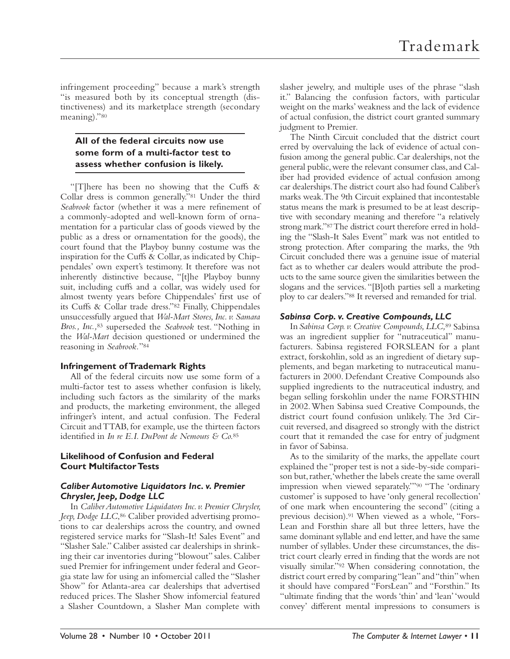infringement proceeding" because a mark's strength "is measured both by its conceptual strength (distinctiveness) and its marketplace strength (secondary meaning)."80

# **All of the federal circuits now use some form of a multi-factor test to assess whether confusion is likely.**

"[T]here has been no showing that the Cuffs  $\&$ Collar dress is common generally."<sup>81</sup> Under the third Seabrook factor (whether it was a mere refinement of a commonly-adopted and well-known form of ornamentation for a particular class of goods viewed by the public as a dress or ornamentation for the goods), the court found that the Playboy bunny costume was the inspiration for the Cuffs  $\&$  Collar, as indicated by Chippendales' own expert's testimony. It therefore was not inherently distinctive because, "[t]he Playboy bunny suit, including cuffs and a collar, was widely used for almost twenty years before Chippendales' first use of its Cuffs & Collar trade dress." 82 Finally, Chippendales unsuccessfully argued that *Wal-Mart Stores, Inc. v. Samara Bros., Inc.,*83 superseded the *Seabrook* test. "Nothing in the *Wal-Mart* decision questioned or undermined the reasoning in Seabrook."<sup>84</sup>

# **Infringement of Trademark Rights**

All of the federal circuits now use some form of a multi-factor test to assess whether confusion is likely, including such factors as the similarity of the marks and products, the marketing environment, the alleged infringer's intent, and actual confusion. The Federal Circuit and TTAB, for example, use the thirteen factors identified in *In re E.I. DuPont de Nemours & Co.*85

# **Likelihood of Confusion and Federal Court Multifactor Tests**

# *Caliber Automotive Liquidators Inc. v. Premier Chrysler, Jeep, Dodge LLC*

In *Caliber Automotive Liquidators Inc. v. Premier Chrysler,*  Jeep, Dodge LLC,<sup>86</sup> Caliber provided advertising promotions to car dealerships across the country, and owned registered service marks for "Slash-It! Sales Event" and "Slasher Sale." Caliber assisted car dealerships in shrinking their car inventories during "blowout" sales. Caliber sued Premier for infringement under federal and Georgia state law for using an infomercial called the "Slasher Show" for Atlanta-area car dealerships that advertised reduced prices. The Slasher Show infomercial featured a Slasher Countdown, a Slasher Man complete with

slasher jewelry, and multiple uses of the phrase "slash it." Balancing the confusion factors, with particular weight on the marks' weakness and the lack of evidence of actual confusion, the district court granted summary judgment to Premier.

The Ninth Circuit concluded that the district court erred by overvaluing the lack of evidence of actual confusion among the general public. Car dealerships, not the general public, were the relevant consumer class, and Caliber had provided evidence of actual confusion among car dealerships. The district court also had found Caliber's marks weak. The 9th Circuit explained that incontestable status means the mark is presumed to be at least descriptive with secondary meaning and therefore "a relatively strong mark." 87 The district court therefore erred in holding the "Slash-It Sales Event" mark was not entitled to strong protection. After comparing the marks, the 9th Circuit concluded there was a genuine issue of material fact as to whether car dealers would attribute the products to the same source given the similarities between the slogans and the services. "[B]oth parties sell a marketing ploy to car dealers." 88 It reversed and remanded for trial.

# *Sabinsa Corp. v. Creative Compounds, LLC*

In *Sabinsa Corp. v. Creative Compounds, LLC,*89 Sabinsa was an ingredient supplier for "nutraceutical" manufacturers. Sabinsa registered FORSLEAN for a plant extract, forskohlin, sold as an ingredient of dietary supplements, and began marketing to nutraceutical manufacturers in 2000. Defendant Creative Compounds also supplied ingredients to the nutraceutical industry, and began selling forskohlin under the name FORSTHIN in 2002. When Sabinsa sued Creative Compounds, the district court found confusion unlikely. The 3rd Circuit reversed, and disagreed so strongly with the district court that it remanded the case for entry of judgment in favor of Sabinsa.

As to the similarity of the marks, the appellate court explained the "proper test is not a side-by-side comparison but, rather, 'whether the labels create the same overall impression when viewed separately."<sup>90</sup> "The 'ordinary customer' is supposed to have 'only general recollection' of one mark when encountering the second" (citing a previous decision). 91 When viewed as a whole, "Fors-Lean and Forsthin share all but three letters, have the same dominant syllable and end letter, and have the same number of syllables. Under these circumstances, the district court clearly erred in finding that the words are not visually similar."<sup>92</sup> When considering connotation, the district court erred by comparing "lean" and "thin" when it should have compared "ForsLean" and "Forsthin." Its "ultimate finding that the words 'thin' and 'lean' 'would convey' different mental impressions to consumers is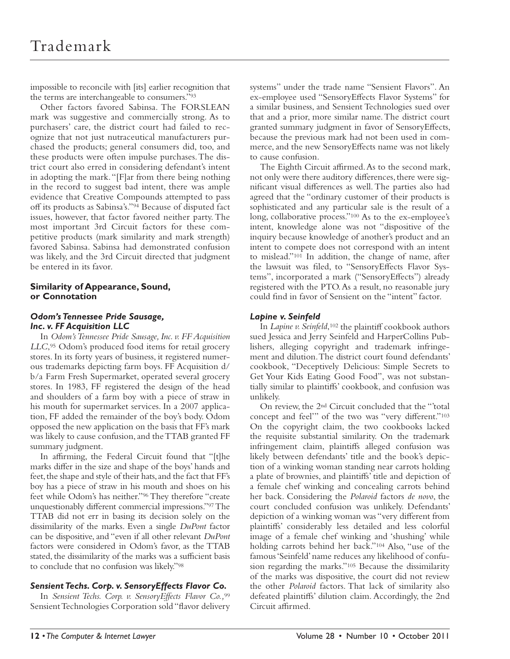impossible to reconcile with [its] earlier recognition that the terms are interchangeable to consumers."<sup>93</sup>

Other factors favored Sabinsa. The FORSLEAN mark was suggestive and commercially strong. As to purchasers' care, the district court had failed to recognize that not just nutraceutical manufacturers purchased the products; general consumers did, too, and these products were often impulse purchases. The district court also erred in considering defendant's intent in adopting the mark. "[F]ar from there being nothing in the record to suggest bad intent, there was ample evidence that Creative Compounds attempted to pass off its products as Sabinsa's." 94 Because of disputed fact issues, however, that factor favored neither party. The most important 3rd Circuit factors for these competitive products (mark similarity and mark strength) favored Sabinsa. Sabinsa had demonstrated confusion was likely, and the 3rd Circuit directed that judgment be entered in its favor.

# **Similarity of Appearance, Sound, or Connotation**

# *Odom's Tennessee Pride Sausage, Inc. v. FF Acquisition LLC*

In *Odom's Tennessee Pride Sausage, Inc. v. FF Acquisition LLC*, 95 Odom's produced food items for retail grocery stores. In its forty years of business, it registered numerous trademarks depicting farm boys. FF Acquisition d/ b/a Farm Fresh Supermarket, operated several grocery stores. In 1983, FF registered the design of the head and shoulders of a farm boy with a piece of straw in his mouth for supermarket services. In a 2007 application, FF added the remainder of the boy's body. Odom opposed the new application on the basis that FF's mark was likely to cause confusion, and the TTAB granted FF summary judgment.

In affirming, the Federal Circuit found that "[t]he marks differ in the size and shape of the boys' hands and feet, the shape and style of their hats, and the fact that FF's boy has a piece of straw in his mouth and shoes on his feet while Odom's has neither." <sup>96</sup> They therefore "create unquestionably different commercial impressions." 97 The TTAB did not err in basing its decision solely on the dissimilarity of the marks. Even a single *DuPont* factor can be dispositive, and "even if all other relevant *DuPont* factors were considered in Odom's favor, as the TTAB stated, the dissimilarity of the marks was a sufficient basis to conclude that no confusion was likely." 98

# *Sensient Techs. Corp. v. SensoryEffects Flavor Co.*

In *Sensient Techs. Corp. v. SensoryEffects Flavor Co.,*<sup>99</sup> Sensient Technologies Corporation sold "flavor delivery systems" under the trade name "Sensient Flavors". An ex-employee used "SensoryEffects Flavor Systems" for a similar business, and Sensient Technologies sued over that and a prior, more similar name. The district court granted summary judgment in favor of SensoryEffects, because the previous mark had not been used in commerce, and the new SensoryEffects name was not likely to cause confusion.

The Eighth Circuit affirmed. As to the second mark, not only were there auditory differences, there were significant visual differences as well. The parties also had agreed that the "ordinary customer of their products is sophisticated and any particular sale is the result of a long, collaborative process."<sup>100</sup> As to the ex-employee's intent, knowledge alone was not "dispositive of the inquiry because knowledge of another's product and an intent to compete does not correspond with an intent to mislead." 101 In addition, the change of name, after the lawsuit was filed, to "SensoryEffects Flavor Systems", incorporated a mark ("SensoryEffects") already registered with the PTO. As a result, no reasonable jury could find in favor of Sensient on the "intent" factor.

#### *Lapine v. Seinfeld*

In *Lapine v. Seinfeld*, 102 the plaintiff cookbook authors sued Jessica and Jerry Seinfeld and HarperCollins Publishers, alleging copyright and trademark infringement and dilution. The district court found defendants' cookbook, "Deceptively Delicious: Simple Secrets to Get Your Kids Eating Good Food", was not substantially similar to plaintiffs' cookbook, and confusion was unlikely.

On review, the 2<sup>nd</sup> Circuit concluded that the "total concept and feel'" of the two was "very different."<sup>103</sup> On the copyright claim, the two cookbooks lacked the requisite substantial similarity. On the trademark infringement claim, plaintiffs alleged confusion was likely between defendants' title and the book's depiction of a winking woman standing near carrots holding a plate of brownies, and plaintiffs' title and depiction of a female chef winking and concealing carrots behind her back. Considering the *Polaroid* factors *de novo*, the court concluded confusion was unlikely. Defendants' depiction of a winking woman was "very different from plaintiffs' considerably less detailed and less colorful image of a female chef winking and 'shushing' while holding carrots behind her back."<sup>104</sup> Also, "use of the famous 'Seinfeld' name reduces any likelihood of confusion regarding the marks." 105 Because the dissimilarity of the marks was dispositive, the court did not review the other *Polaroid* factors. That lack of similarity also defeated plaintiffs' dilution claim. Accordingly, the 2nd Circuit affirmed.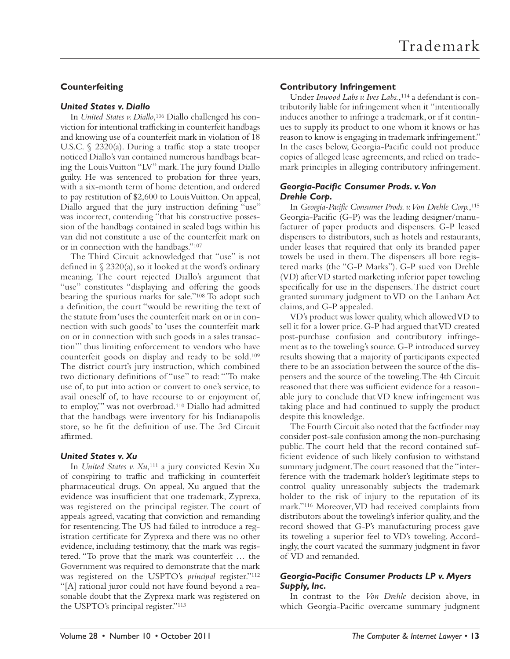# **Counterfeiting**

#### *United States v. Diallo*

In *United States v. Diallo*, 106 Diallo challenged his conviction for intentional trafficking in counterfeit handbags and knowing use of a counterfeit mark in violation of 18 U.S.C.  $\S$  2320(a). During a traffic stop a state trooper noticed Diallo's van contained numerous handbags bearing the Louis Vuitton "LV" mark. The jury found Diallo guilty. He was sentenced to probation for three years, with a six-month term of home detention, and ordered to pay restitution of \$2,600 to Louis Vuitton. On appeal, Diallo argued that the jury instruction defining "use" was incorrect, contending "that his constructive possession of the handbags contained in sealed bags within his van did not constitute a use of the counterfeit mark on or in connection with the handbags."<sup>107</sup>

The Third Circuit acknowledged that "use" is not defined in  $\S 2320(a)$ , so it looked at the word's ordinary meaning. The court rejected Diallo's argument that "use" constitutes "displaying and offering the goods bearing the spurious marks for sale."<sup>108</sup> To adopt such a definition, the court "would be rewriting the text of the statute from 'uses the counterfeit mark on or in connection with such goods' to 'uses the counterfeit mark on or in connection with such goods in a sales transaction'" thus limiting enforcement to vendors who have counterfeit goods on display and ready to be sold. 109 The district court's jury instruction, which combined two dictionary definitions of "use" to read: "To make use of, to put into action or convert to one's service, to avail oneself of, to have recourse to or enjoyment of, to employ,'" was not overbroad. 110 Diallo had admitted that the handbags were inventory for his Indianapolis store, so he fit the definition of use. The 3rd Circuit affirmed.

# *United States v. Xu*

In *United States v. Xu*, 111 a jury convicted Kevin Xu of conspiring to traffic and trafficking in counterfeit pharmaceutical drugs. On appeal, Xu argued that the evidence was insufficient that one trademark, Zyprexa, was registered on the principal register. The court of appeals agreed, vacating that conviction and remanding for resentencing. The US had failed to introduce a registration certificate for Zyprexa and there was no other evidence, including testimony, that the mark was registered. "To prove that the mark was counterfeit … the Government was required to demonstrate that the mark was registered on the USPTO's *principal* register."<sup>112</sup> "[A] rational juror could not have found beyond a reasonable doubt that the Zyprexa mark was registered on the USPTO's principal register."<sup>113</sup>

# **Contributory Infringement**

Under *Inwood Labs v. Ives Labs.*, 114 a defendant is contributorily liable for infringement when it "intentionally induces another to infringe a trademark, or if it continues to supply its product to one whom it knows or has reason to know is engaging in trademark infringement." In the cases below, Georgia-Pacific could not produce copies of alleged lease agreements, and relied on trademark principles in alleging contributory infringement.

# *Georgia-Pacific Consumer Prods. v. Von Drehle Corp.*

In *Georgia-Pacific Consumer Prods. v. Von Drehle Corp.*, 115 Georgia-Pacific  $(G-P)$  was the leading designer/manufacturer of paper products and dispensers. G-P leased dispensers to distributors, such as hotels and restaurants, under leases that required that only its branded paper towels be used in them. The dispensers all bore registered marks (the "G-P Marks"). G-P sued von Drehle (VD) after VD started marketing inferior paper toweling specifically for use in the dispensers. The district court granted summary judgment to VD on the Lanham Act claims, and G-P appealed.

VD's product was lower quality, which allowed VD to sell it for a lower price. G-P had argued that VD created post-purchase confusion and contributory infringement as to the toweling's source. G-P introduced survey results showing that a majority of participants expected there to be an association between the source of the dispensers and the source of the toweling. The 4th Circuit reasoned that there was sufficient evidence for a reasonable jury to conclude that VD knew infringement was taking place and had continued to supply the product despite this knowledge.

The Fourth Circuit also noted that the factfinder may consider post-sale confusion among the non-purchasing public. The court held that the record contained sufficient evidence of such likely confusion to withstand summary judgment. The court reasoned that the "interference with the trademark holder's legitimate steps to control quality unreasonably subjects the trademark holder to the risk of injury to the reputation of its mark." 116 Moreover, VD had received complaints from distributors about the toweling's inferior quality, and the record showed that G-P's manufacturing process gave its toweling a superior feel to VD's toweling. Accordingly, the court vacated the summary judgment in favor of VD and remanded.

# *Georgia-Pacific Consumer Products LP v. Myers Supply, Inc.*

In contrast to the *Von Drehle* decision above, in which Georgia-Pacific overcame summary judgment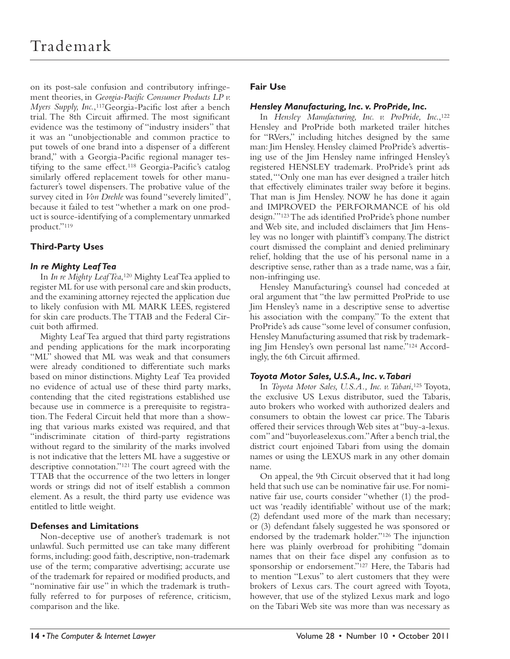on its post-sale confusion and contributory infringement theories, in *Georgia-Pacific Consumer Products LP v. Myers Supply, Inc.*,<sup>117</sup>Georgia-Pacific lost after a bench trial. The 8th Circuit affirmed. The most significant evidence was the testimony of "industry insiders" that it was an "unobjectionable and common practice to put towels of one brand into a dispenser of a different brand," with a Georgia-Pacific regional manager testifying to the same effect.<sup>118</sup> Georgia-Pacific's catalog similarly offered replacement towels for other manufacturer's towel dispensers. The probative value of the survey cited in *Von Drehle* was found "severely limited", because it failed to test "whether a mark on one product is source- identifying of a complementary unmarked product."<sup>119</sup>

# **Third-Party Uses**

# *In re Mighty Leaf Tea*

In *In re Mighty Leaf Tea*, 120 Mighty Leaf Tea applied to register ML for use with personal care and skin products, and the examining attorney rejected the application due to likely confusion with ML MARK LEES, registered for skin care products. The TTAB and the Federal Circuit both affirmed.

Mighty Leaf Tea argued that third party registrations and pending applications for the mark incorporating "ML" showed that ML was weak and that consumers were already conditioned to differentiate such marks based on minor distinctions. Mighty Leaf Tea provided no evidence of actual use of these third party marks, contending that the cited registrations established use because use in commerce is a prerequisite to registration. The Federal Circuit held that more than a showing that various marks existed was required, and that "indiscriminate citation of third-party registrations without regard to the similarity of the marks involved is not indicative that the letters ML have a suggestive or descriptive connotation."<sup>121</sup> The court agreed with the TTAB that the occurrence of the two letters in longer words or strings did not of itself establish a common element. As a result, the third party use evidence was entitled to little weight.

# **Defenses and Limitations**

Non-deceptive use of another's trademark is not unlawful. Such permitted use can take many different forms, including: good faith, descriptive, non-trademark use of the term; comparative advertising; accurate use of the trademark for repaired or modified products, and "nominative fair use" in which the trademark is truthfully referred to for purposes of reference, criticism, comparison and the like.

# **Fair Use**

# *Hensley Manufacturing, Inc. v. ProPride, Inc.*

In *Hensley Manufacturing, Inc. v. ProPride, Inc*., 122 Hensley and ProPride both marketed trailer hitches for "RVers," including hitches designed by the same man: Jim Hensley. Hensley claimed ProPride's advertising use of the Jim Hensley name infringed Hensley's registered HENSLEY trademark. ProPride's print ads stated, "'Only one man has ever designed a trailer hitch that effectively eliminates trailer sway before it begins. That man is Jim Hensley. NOW he has done it again and IMPROVED the PERFORMANCE of his old design." 123 The ads identified ProPride's phone number and Web site, and included disclaimers that Jim Hensley was no longer with plaintiff 's company. The district court dismissed the complaint and denied preliminary relief, holding that the use of his personal name in a descriptive sense, rather than as a trade name, was a fair, non-infringing use.

Hensley Manufacturing's counsel had conceded at oral argument that "the law permitted ProPride to use Jim Hensley's name in a descriptive sense to advertise his association with the company." To the extent that ProPride's ads cause "some level of consumer confusion, Hensley Manufacturing assumed that risk by trademarking Jim Hensley's own personal last name." 124 Accordingly, the 6th Circuit affirmed.

# *Toyota Motor Sales, U.S.A., Inc. v. Tabari*

In *Toyota Motor Sales, U.S.A., Inc. v. Tabari*, 125 Toyota, the exclusive US Lexus distributor, sued the Tabaris, auto brokers who worked with authorized dealers and consumers to obtain the lowest car price. The Tabaris offered their services through Web sites at "buy-a-lexus. com" and "buyorleaselexus.com." After a bench trial, the district court enjoined Tabari from using the domain names or using the LEXUS mark in any other domain name.

On appeal, the 9th Circuit observed that it had long held that such use can be nominative fair use. For nominative fair use, courts consider "whether (1) the product was 'readily identifiable' without use of the mark; (2) defendant used more of the mark than necessary; or (3) defendant falsely suggested he was sponsored or endorsed by the trademark holder." 126 The injunction here was plainly overbroad for prohibiting "domain names that on their face dispel any confusion as to sponsorship or endorsement."<sup>127</sup> Here, the Tabaris had to mention "Lexus" to alert customers that they were brokers of Lexus cars. The court agreed with Toyota, however, that use of the stylized Lexus mark and logo on the Tabari Web site was more than was necessary as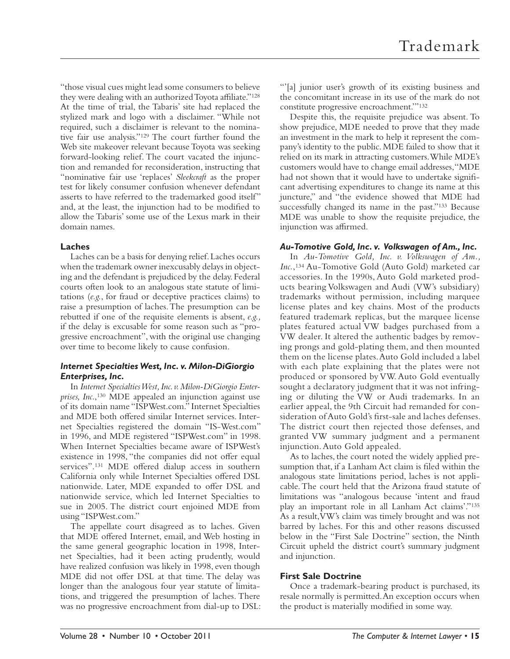"those visual cues might lead some consumers to believe they were dealing with an authorized Toyota affiliate."<sup>128</sup> At the time of trial, the Tabaris' site had replaced the stylized mark and logo with a disclaimer. "While not required, such a disclaimer is relevant to the nominative fair use analysis." 129 The court further found the Web site makeover relevant because Toyota was seeking forward-looking relief. The court vacated the injunction and remanded for reconsideration, instructing that "nominative fair use 'replaces' *Sleekcraft* as the proper test for likely consumer confusion whenever defendant asserts to have referred to the trademarked good itself" and, at the least, the injunction had to be modified to allow the Tabaris' some use of the Lexus mark in their domain names.

# **Laches**

Laches can be a basis for denying relief. Laches occurs when the trademark owner inexcusably delays in objecting and the defendant is prejudiced by the delay. Federal courts often look to an analogous state statute of limitations (e.g., for fraud or deceptive practices claims) to raise a presumption of laches. The presumption can be rebutted if one of the requisite elements is absent, *e.g.,*  if the delay is excusable for some reason such as "progressive encroachment", with the original use changing over time to become likely to cause confusion.

# *Internet Specialties West, Inc. v. Milon-DiGiorgio Enterprises, Inc.*

In *Internet Specialties West, Inc. v. Milon-DiGiorgio Enterprises, Inc*., 130 MDE appealed an injunction against use of its domain name "ISPWest.com." Internet Specialties and MDE both offered similar Internet services. Internet Specialties registered the domain "IS-West.com" in 1996, and MDE registered "ISPWest.com" in 1998. When Internet Specialties became aware of ISPWest's existence in 1998, "the companies did not offer equal services".<sup>131</sup> MDE offered dialup access in southern California only while Internet Specialties offered DSL nationwide. Later, MDE expanded to offer DSL and nationwide service, which led Internet Specialties to sue in 2005. The district court enjoined MDE from using "ISPWest.com."

The appellate court disagreed as to laches. Given that MDE offered Internet, email, and Web hosting in the same general geographic location in 1998, Internet Specialties, had it been acting prudently, would have realized confusion was likely in 1998, even though MDE did not offer DSL at that time. The delay was longer than the analogous four year statute of limitations, and triggered the presumption of laches. There was no progressive encroachment from dial-up to DSL: "'[a] junior user's growth of its existing business and the concomitant increase in its use of the mark do not constitute progressive encroachment.'" 132

Despite this, the requisite prejudice was absent. To show prejudice, MDE needed to prove that they made an investment in the mark to help it represent the company's identity to the public. MDE failed to show that it relied on its mark in attracting customers. While MDE's customers would have to change email addresses, "MDE had not shown that it would have to undertake significant advertising expenditures to change its name at this juncture," and "the evidence showed that MDE had successfully changed its name in the past."<sup>133</sup> Because MDE was unable to show the requisite prejudice, the injunction was affirmed.

# *Au-Tomotive Gold, Inc. v. Volkswagen of Am., Inc.*

In *Au-Tomotive Gold, Inc. v. Volkswagen of Am., Inc.*, 134 Au-Tomotive Gold (Auto Gold) marketed car accessories. In the 1990s, Auto Gold marketed products bearing Volkswagen and Audi (VW's subsidiary) trademarks without permission, including marquee license plates and key chains. Most of the products featured trademark replicas, but the marquee license plates featured actual VW badges purchased from a VW dealer. It altered the authentic badges by removing prongs and gold-plating them, and then mounted them on the license plates. Auto Gold included a label with each plate explaining that the plates were not produced or sponsored by VW. Auto Gold eventually sought a declaratory judgment that it was not infringing or diluting the VW or Audi trademarks. In an earlier appeal, the 9th Circuit had remanded for consideration of Auto Gold's first-sale and laches defenses. The district court then rejected those defenses, and granted VW summary judgment and a permanent injunction. Auto Gold appealed.

As to laches, the court noted the widely applied presumption that, if a Lanham Act claim is filed within the analogous state limitations period, laches is not applicable. The court held that the Arizona fraud statute of limitations was "analogous because 'intent and fraud play an important role in all Lanham Act claims'." 135 As a result, VW's claim was timely brought and was not barred by laches. For this and other reasons discussed below in the "First Sale Doctrine" section, the Ninth Circuit upheld the district court's summary judgment and injunction.

# **First Sale Doctrine**

Once a trademark-bearing product is purchased, its resale normally is permitted. An exception occurs when the product is materially modified in some way.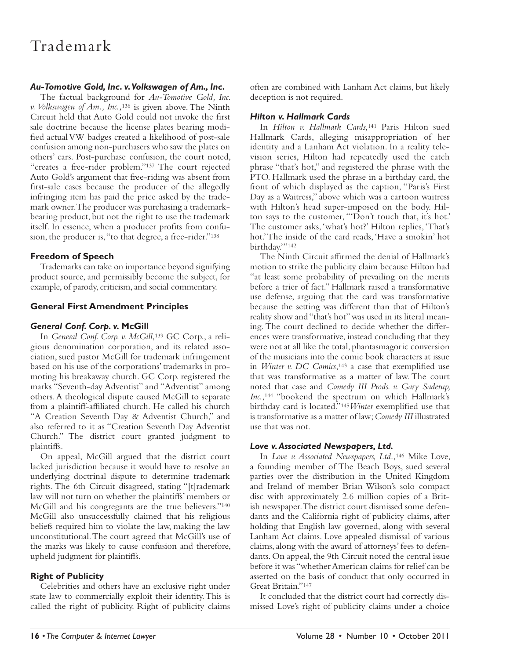# *Au-Tomotive Gold, Inc. v. Volkswagen of Am., Inc.*

The factual background for *Au-Tomotive Gold, Inc. v. Volkswagen of Am., Inc.,*136 is given above. The Ninth Circuit held that Auto Gold could not invoke the first sale doctrine because the license plates bearing modified actual VW badges created a likelihood of post-sale confusion among non-purchasers who saw the plates on others' cars. Post-purchase confusion, the court noted, "creates a free-rider problem."<sup>137</sup> The court rejected Auto Gold's argument that free-riding was absent from first-sale cases because the producer of the allegedly infringing item has paid the price asked by the trademark owner. The producer was purchasing a trademarkbearing product, but not the right to use the trademark itself. In essence, when a producer profits from confusion, the producer is, "to that degree, a free-rider." 138

# **Freedom of Speech**

Trademarks can take on importance beyond signifying product source, and permissibly become the subject, for example, of parody, criticism, and social commentary.

# **General First Amendment Principles**

#### *General Conf. Corp. v.* **McGill**

In *General Conf. Corp. v. McGill*, 139 GC Corp., a religious denomination corporation, and its related association, sued pastor McGill for trademark infringement based on his use of the corporations' trademarks in promoting his breakaway church. GC Corp. registered the marks "Seventh-day Adventist" and "Adventist" among others. A theological dispute caused McGill to separate from a plaintiff-affiliated church. He called his church "A Creation Seventh Day & Adventist Church," and also referred to it as "Creation Seventh Day Adventist Church." The district court granted judgment to plaintiffs.

On appeal, McGill argued that the district court lacked jurisdiction because it would have to resolve an underlying doctrinal dispute to determine trademark rights. The 6th Circuit disagreed, stating "[t]rademark law will not turn on whether the plaintiffs' members or McGill and his congregants are the true believers." 140 McGill also unsuccessfully claimed that his religious beliefs required him to violate the law, making the law unconstitutional. The court agreed that McGill's use of the marks was likely to cause confusion and therefore, upheld judgment for plaintiffs.

# **Right of Publicity**

Celebrities and others have an exclusive right under state law to commercially exploit their identity. This is called the right of publicity. Right of publicity claims often are combined with Lanham Act claims, but likely deception is not required.

# *Hilton v. Hallmark Cards*

In *Hilton v. Hallmark Cards,*141 Paris Hilton sued Hallmark Cards, alleging misappropriation of her identity and a Lanham Act violation. In a reality television series, Hilton had repeatedly used the catch phrase "that's hot," and registered the phrase with the PTO. Hallmark used the phrase in a birthday card, the front of which displayed as the caption, "Paris's First Day as a Waitress," above which was a cartoon waitress with Hilton's head super-imposed on the body. Hilton says to the customer, "'Don't touch that, it's hot.' The customer asks, 'what's hot?' Hilton replies, 'That's hot.' The inside of the card reads, 'Have a smokin' hot birthday."<sup>142</sup>

The Ninth Circuit affirmed the denial of Hallmark's motion to strike the publicity claim because Hilton had "at least some probability of prevailing on the merits before a trier of fact." Hallmark raised a transformative use defense, arguing that the card was transformative because the setting was different than that of Hilton's reality show and "that's hot" was used in its literal meaning. The court declined to decide whether the differences were transformative, instead concluding that they were not at all like the total, phantasmagoric conversion of the musicians into the comic book characters at issue in *Winter v. DC Comics*,<sup>143</sup> a case that exemplified use that was transformative as a matter of law. The court noted that case and *Comedy III Prods. v. Gary Saderup, Inc.*, 144 "bookend the spectrum on which Hallmark's birthday card is located."<sup>145</sup> Winter exemplified use that is transformative as a matter of law; *Comedy III* illustrated use that was not.

# *Love v. Associated Newspapers, Ltd.*

In *Love v. Associated Newspapers, Ltd.*, 146 Mike Love, a founding member of The Beach Boys, sued several parties over the distribution in the United Kingdom and Ireland of member Brian Wilson's solo compact disc with approximately 2.6 million copies of a British newspaper. The district court dismissed some defendants and the California right of publicity claims, after holding that English law governed, along with several Lanham Act claims. Love appealed dismissal of various claims, along with the award of attorneys' fees to defendants. On appeal, the 9th Circuit noted the central issue before it was "whether American claims for relief can be asserted on the basis of conduct that only occurred in Great Britain." 147

It concluded that the district court had correctly dismissed Love's right of publicity claims under a choice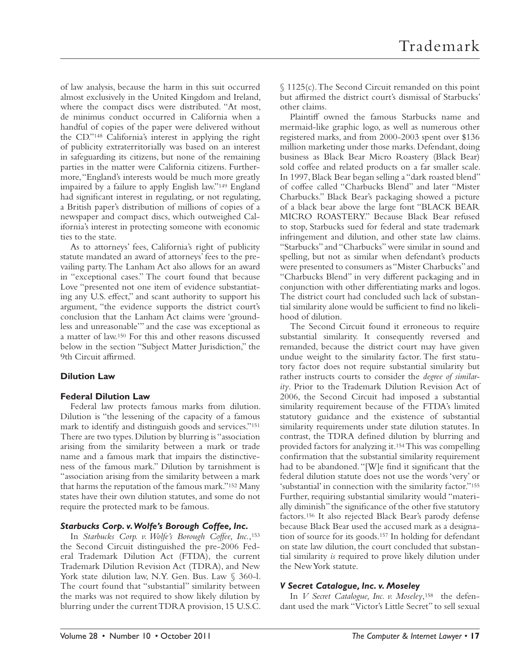of law analysis, because the harm in this suit occurred almost exclusively in the United Kingdom and Ireland, where the compact discs were distributed. "At most, de minimus conduct occurred in California when a handful of copies of the paper were delivered without the CD." 148 California's interest in applying the right of publicity extraterritorially was based on an interest in safeguarding its citizens, but none of the remaining parties in the matter were California citizens. Furthermore, "England's interests would be much more greatly impaired by a failure to apply English law."<sup>149</sup> England had significant interest in regulating, or not regulating, a British paper's distribution of millions of copies of a newspaper and compact discs, which outweighed California's interest in protecting someone with economic ties to the state.

As to attorneys' fees, California's right of publicity statute mandated an award of attorneys' fees to the prevailing party. The Lanham Act also allows for an award in "exceptional cases." The court found that because Love "presented not one item of evidence substantiating any U.S. effect," and scant authority to support his argument, "the evidence supports the district court's conclusion that the Lanham Act claims were 'groundless and unreasonable'" and the case was exceptional as a matter of law. 150 For this and other reasons discussed below in the section "Subject Matter Jurisdiction," the 9th Circuit affirmed.

# **Dilution Law**

# **Federal Dilution Law**

Federal law protects famous marks from dilution. Dilution is "the lessening of the capacity of a famous mark to identify and distinguish goods and services." 151 There are two types. Dilution by blurring is "association arising from the similarity between a mark or trade name and a famous mark that impairs the distinctiveness of the famous mark." Dilution by tarnishment is "association arising from the similarity between a mark that harms the reputation of the famous mark." 152 Many states have their own dilution statutes, and some do not require the protected mark to be famous.

# *Starbucks Corp. v. Wolfe's Borough Coffee, Inc.*

In *Starbucks Corp. v. Wolfe's Borough Coffee, Inc.*, 153 the Second Circuit distinguished the pre-2006 Federal Trademark Dilution Act (FTDA), the current Trademark Dilution Revision Act (TDRA), and New York state dilution law, N.Y. Gen. Bus. Law § 360-l. The court found that "substantial" similarity between the marks was not required to show likely dilution by blurring under the current TDRA provision, 15 U.S.C. § 1125(c). The Second Circuit remanded on this point but affirmed the district court's dismissal of Starbucks' other claims.

Plaintiff owned the famous Starbucks name and mermaid-like graphic logo, as well as numerous other registered marks, and from 2000-2003 spent over \$136 million marketing under those marks. Defendant, doing business as Black Bear Micro Roastery (Black Bear) sold coffee and related products on a far smaller scale. In 1997, Black Bear began selling a "dark roasted blend" of coffee called "Charbucks Blend" and later "Mister Charbucks." Black Bear's packaging showed a picture of a black bear above the large font "BLACK BEAR MICRO ROASTERY." Because Black Bear refused to stop, Starbucks sued for federal and state trademark infringement and dilution, and other state law claims. "Starbucks" and "Charbucks" were similar in sound and spelling, but not as similar when defendant's products were presented to consumers as "Mister Charbucks" and "Charbucks Blend" in very different packaging and in conjunction with other differentiating marks and logos. The district court had concluded such lack of substantial similarity alone would be sufficient to find no likelihood of dilution.

The Second Circuit found it erroneous to require substantial similarity. It consequently reversed and remanded, because the district court may have given undue weight to the similarity factor. The first statutory factor does not require substantial similarity but rather instructs courts to consider the *degree of similarity*. Prior to the Trademark Dilution Revision Act of 2006, the Second Circuit had imposed a substantial similarity requirement because of the FTDA's limited statutory guidance and the existence of substantial similarity requirements under state dilution statutes. In contrast, the TDRA defined dilution by blurring and provided factors for analyzing it. 154 This was compelling confirmation that the substantial similarity requirement had to be abandoned. "[W]e find it significant that the federal dilution statute does not use the words 'very' or 'substantial' in connection with the similarity factor." 155 Further, requiring substantial similarity would "materially diminish" the significance of the other five statutory factors. 156 It also rejected Black Bear's parody defense because Black Bear used the accused mark as a designation of source for its goods. 157 In holding for defendant on state law dilution, the court concluded that substantial similarity *is* required to prove likely dilution under the New York statute.

# *V Secret Catalogue, Inc. v. Moseley*

In *V Secret Catalogue, Inc. v. Moseley*, 158 the defendant used the mark "Victor's Little Secret" to sell sexual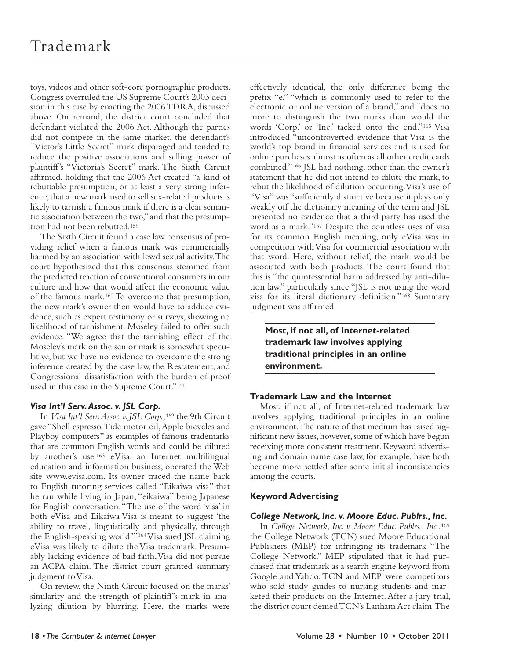toys, videos and other soft-core pornographic products. Congress overruled the US Supreme Court's 2003 decision in this case by enacting the 2006 TDRA, discussed above. On remand, the district court concluded that defendant violated the 2006 Act. Although the parties did not compete in the same market, the defendant's "Victor's Little Secret" mark disparaged and tended to reduce the positive associations and selling power of plaintiff 's "Victoria's Secret" mark. The Sixth Circuit affirmed, holding that the 2006 Act created "a kind of rebuttable presumption, or at least a very strong inference, that a new mark used to sell sex-related products is likely to tarnish a famous mark if there is a clear semantic association between the two," and that the presumption had not been rebutted. 159

The Sixth Circuit found a case law consensus of providing relief when a famous mark was commercially harmed by an association with lewd sexual activity. The court hypothesized that this consensus stemmed from the predicted reaction of conventional consumers in our culture and how that would affect the economic value of the famous mark. 160 To overcome that presumption, the new mark's owner then would have to adduce evidence, such as expert testimony or surveys, showing no likelihood of tarnishment. Moseley failed to offer such evidence. "We agree that the tarnishing effect of the Moseley's mark on the senior mark is somewhat speculative, but we have no evidence to overcome the strong inference created by the case law, the Restatement, and Congressional dissatisfaction with the burden of proof used in this case in the Supreme Court."<sup>161</sup>

# *Visa Int'l Serv. Assoc. v. JSL Corp.*

In *Visa Int'l Serv. Assoc. v. JSL Corp.,*162 the 9th Circuit gave "Shell espresso, Tide motor oil, Apple bicycles and Playboy computers" as examples of famous trademarks that are common English words and could be diluted by another's use.<sup>163</sup> eVisa, an Internet multilingual education and information business, operated the Web site www.evisa.com. Its owner traced the name back to English tutoring services called "Eikaiwa visa" that he ran while living in Japan, "eikaiwa" being Japanese for English conversation. "The use of the word 'visa' in both eVisa and Eikaiwa Visa is meant to suggest 'the ability to travel, linguistically and physically, through the English-speaking world.'" 164 Visa sued JSL claiming eVisa was likely to dilute the Visa trademark. Presumably lacking evidence of bad faith, Visa did not pursue an ACPA claim. The district court granted summary judgment to Visa.

On review, the Ninth Circuit focused on the marks' similarity and the strength of plaintiff's mark in analyzing dilution by blurring. Here, the marks were

effectively identical, the only difference being the prefix "e," "which is commonly used to refer to the electronic or online version of a brand," and "does no more to distinguish the two marks than would the words 'Corp.' or 'Inc.' tacked onto the end." 165 Visa introduced "uncontroverted evidence that Visa is the world's top brand in financial services and is used for online purchases almost as often as all other credit cards combined."<sup>166</sup> JSL had nothing, other than the owner's statement that he did not intend to dilute the mark, to rebut the likelihood of dilution occurring. Visa's use of "Visa" was "sufficiently distinctive because it plays only weakly off the dictionary meaning of the term and JSL presented no evidence that a third party has used the word as a mark."<sup>167</sup> Despite the countless uses of visa for its common English meaning, only eVisa was in competition with Visa for commercial association with that word. Here, without relief, the mark would be associated with both products. The court found that this is "the quintessential harm addressed by anti-dilution law," particularly since "JSL is not using the word visa for its literal dictionary definition."<sup>168</sup> Summary judgment was affirmed.

**Most, if not all, of Internet-related trademark law involves applying traditional principles in an online environment.**

# **Trademark Law and the Internet**

Most, if not all, of Internet-related trademark law involves applying traditional principles in an online environment. The nature of that medium has raised significant new issues, however, some of which have begun receiving more consistent treatment. Keyword advertising and domain name case law, for example, have both become more settled after some initial inconsistencies among the courts.

# **Keyword Advertising**

# *College Network, Inc. v. Moore Educ. Publrs., Inc.*

In *College Network, Inc. v. Moore Educ. Publrs., Inc.*, 169 the College Network (TCN) sued Moore Educational Publishers (MEP) for infringing its trademark "The College Network." MEP stipulated that it had purchased that trademark as a search engine keyword from Google and Yahoo. TCN and MEP were competitors who sold study guides to nursing students and marketed their products on the Internet. After a jury trial, the district court denied TCN's Lanham Act claim. The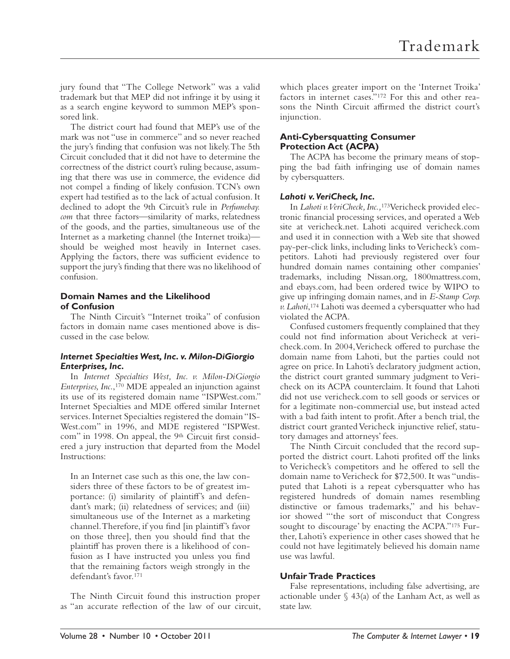jury found that "The College Network" was a valid trademark but that MEP did not infringe it by using it as a search engine keyword to summon MEP's sponsored link.

The district court had found that MEP's use of the mark was not "use in commerce" and so never reached the jury's finding that confusion was not likely. The 5th Circuit concluded that it did not have to determine the correctness of the district court's ruling because, assuming that there was use in commerce, the evidence did not compel a finding of likely confusion. TCN's own expert had testified as to the lack of actual confusion. It declined to adopt the 9th Circuit's rule in *Perfumebay. com* that three factors—similarity of marks, relatedness of the goods, and the parties, simultaneous use of the Internet as a marketing channel (the Internet troika) should be weighed most heavily in Internet cases. Applying the factors, there was sufficient evidence to support the jury's finding that there was no likelihood of confusion.

#### **Domain Names and the Likelihood of Confusion**

The Ninth Circuit's "Internet troika" of confusion factors in domain name cases mentioned above is discussed in the case below.

# *Internet Specialties West, Inc. v. Milon-DiGiorgio Enterprises, Inc.*

In *Internet Specialties West, Inc. v. Milon-DiGiorgio Enterprises, Inc*., 170 MDE appealed an injunction against its use of its registered domain name "ISPWest.com." Internet Specialties and MDE offered similar Internet services. Internet Specialties registered the domain "IS-West.com" in 1996, and MDE registered "ISPWest. com" in 1998. On appeal, the 9<sup>th</sup> Circuit first considered a jury instruction that departed from the Model Instructions:

In an Internet case such as this one, the law considers three of these factors to be of greatest importance: (i) similarity of plaintiff's and defendant's mark; (ii) relatedness of services; and (iii) simultaneous use of the Internet as a marketing channel. Therefore, if you find [in plaintiff's favor on those three], then you should find that the plaintiff has proven there is a likelihood of confusion as I have instructed you unless you find that the remaining factors weigh strongly in the defendant's favor. 171

The Ninth Circuit found this instruction proper as "an accurate reflection of the law of our circuit, which places greater import on the 'Internet Troika' factors in internet cases." 172 For this and other reasons the Ninth Circuit affirmed the district court's injunction.

# **Anti-Cybersquatting Consumer Protection Act (ACPA)**

The ACPA has become the primary means of stopping the bad faith infringing use of domain names by cybersquatters.

# *Lahoti v. VeriCheck, Inc.*

In *Lahoti v. VeriCheck, Inc.,*173Vericheck provided electronic financial processing services, and operated a Web site at vericheck.net. Lahoti acquired vericheck.com and used it in connection with a Web site that showed pay-per-click links, including links to Vericheck's competitors. Lahoti had previously registered over four hundred domain names containing other companies' trademarks, including Nissan.org, 1800mattress.com, and ebays.com, had been ordered twice by WIPO to give up infringing domain names, and in *E-Stamp Corp. v. Lahoti*, 174 Lahoti was deemed a cybersquatter who had violated the ACPA.

Confused customers frequently complained that they could not find information about Vericheck at vericheck.com. In 2004, Vericheck offered to purchase the domain name from Lahoti, but the parties could not agree on price. In Lahoti's declaratory judgment action, the district court granted summary judgment to Vericheck on its ACPA counterclaim. It found that Lahoti did not use vericheck.com to sell goods or services or for a legitimate non-commercial use, but instead acted with a bad faith intent to profit. After a bench trial, the district court granted Vericheck injunctive relief, statutory damages and attorneys' fees.

The Ninth Circuit concluded that the record supported the district court. Lahoti profited off the links to Vericheck's competitors and he offered to sell the domain name to Vericheck for \$72,500. It was "undisputed that Lahoti is a repeat cybersquatter who has registered hundreds of domain names resembling distinctive or famous trademarks," and his behavior showed "'the sort of misconduct that Congress sought to discourage' by enacting the ACPA."175 Further, Lahoti's experience in other cases showed that he could not have legitimately believed his domain name use was lawful.

# **Unfair Trade Practices**

False representations, including false advertising, are actionable under  $\S$  43(a) of the Lanham Act, as well as state law.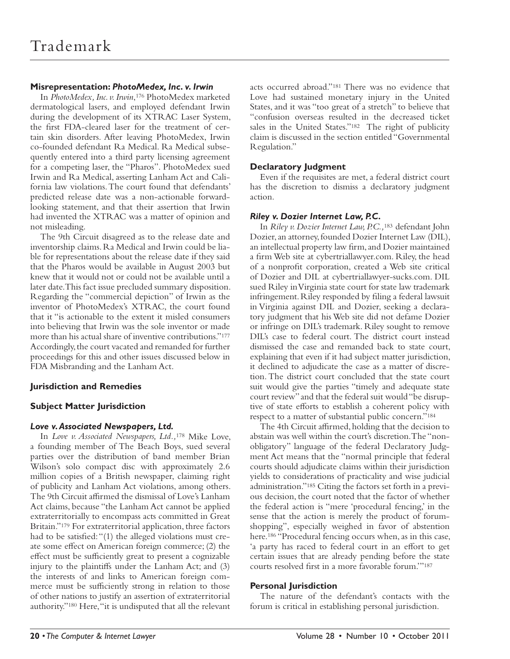# **Misrepresentation:** *PhotoMedex, Inc. v. Irwin*

In *PhotoMedex, Inc. v. Irwin*, 176 PhotoMedex marketed dermatological lasers, and employed defendant Irwin during the development of its XTRAC Laser System, the first FDA-cleared laser for the treatment of certain skin disorders. After leaving PhotoMedex, Irwin co-founded defendant Ra Medical. Ra Medical subsequently entered into a third party licensing agreement for a competing laser, the "Pharos". PhotoMedex sued Irwin and Ra Medical, asserting Lanham Act and California law violations. The court found that defendants' predicted release date was a non-actionable forwardlooking statement, and that their assertion that Irwin had invented the XTRAC was a matter of opinion and not misleading.

The 9th Circuit disagreed as to the release date and inventorship claims. Ra Medical and Irwin could be liable for representations about the release date if they said that the Pharos would be available in August 2003 but knew that it would not or could not be available until a later date. This fact issue precluded summary disposition. Regarding the "commercial depiction" of Irwin as the inventor of PhotoMedex's XTRAC, the court found that it "is actionable to the extent it misled consumers into believing that Irwin was the sole inventor or made more than his actual share of inventive contributions." 177 Accordingly, the court vacated and remanded for further proceedings for this and other issues discussed below in FDA Misbranding and the Lanham Act.

# **Jurisdiction and Remedies**

# **Subject Matter Jurisdiction**

# *Love v. Associated Newspapers, Ltd.*

In *Love v. Associated Newspapers, Ltd.,*178 Mike Love, a founding member of The Beach Boys, sued several parties over the distribution of band member Brian Wilson's solo compact disc with approximately 2.6 million copies of a British newspaper, claiming right of publicity and Lanham Act violations, among others. The 9th Circuit affirmed the dismissal of Love's Lanham Act claims, because "the Lanham Act cannot be applied extraterritorially to encompass acts committed in Great Britain."<sup>179</sup> For extraterritorial application, three factors had to be satisfied: "(1) the alleged violations must create some effect on American foreign commerce; (2) the effect must be sufficiently great to present a cognizable injury to the plaintiffs under the Lanham Act; and (3) the interests of and links to American foreign commerce must be sufficiently strong in relation to those of other nations to justify an assertion of extraterritorial authority." 180 Here, "it is undisputed that all the relevant

acts occurred abroad."<sup>181</sup> There was no evidence that Love had sustained monetary injury in the United States, and it was "too great of a stretch" to believe that "confusion overseas resulted in the decreased ticket sales in the United States."<sup>182</sup> The right of publicity claim is discussed in the section entitled "Governmental Regulation."

# **Declaratory Judgment**

Even if the requisites are met, a federal district court has the discretion to dismiss a declaratory judgment action.

# *Riley v. Dozier Internet Law, P.C.*

In *Riley v. Dozier Internet Law, P.C.,*<sup>183</sup> defendant John Dozier, an attorney, founded Dozier Internet Law (DIL), an intellectual property law firm, and Dozier maintained a firm Web site at cybertriallawyer.com. Riley, the head of a nonprofit corporation, created a Web site critical of Dozier and DIL at cybertriallawyer-sucks.com. DIL sued Riley in Virginia state court for state law trademark infringement. Riley responded by filing a federal lawsuit in Virginia against DIL and Dozier, seeking a declaratory judgment that his Web site did not defame Dozier or infringe on DIL's trademark. Riley sought to remove DIL's case to federal court. The district court instead dismissed the case and remanded back to state court, explaining that even if it had subject matter jurisdiction, it declined to adjudicate the case as a matter of discretion. The district court concluded that the state court suit would give the parties "timely and adequate state court review" and that the federal suit would "be disruptive of state efforts to establish a coherent policy with respect to a matter of substantial public concern." 184

The 4th Circuit affirmed, holding that the decision to abstain was well within the court's discretion. The "nonobligatory" language of the federal Declaratory Judgment Act means that the "normal principle that federal courts should adjudicate claims within their jurisdiction yields to considerations of practicality and wise judicial administration." 185 Citing the factors set forth in a previous decision, the court noted that the factor of whether the federal action is "mere 'procedural fencing,' in the sense that the action is merely the product of forumshopping", especially weighed in favor of abstention here.<sup>186</sup> "Procedural fencing occurs when, as in this case, 'a party has raced to federal court in an effort to get certain issues that are already pending before the state courts resolved first in a more favorable forum."<sup>187</sup>

# **Personal Jurisdiction**

The nature of the defendant's contacts with the forum is critical in establishing personal jurisdiction.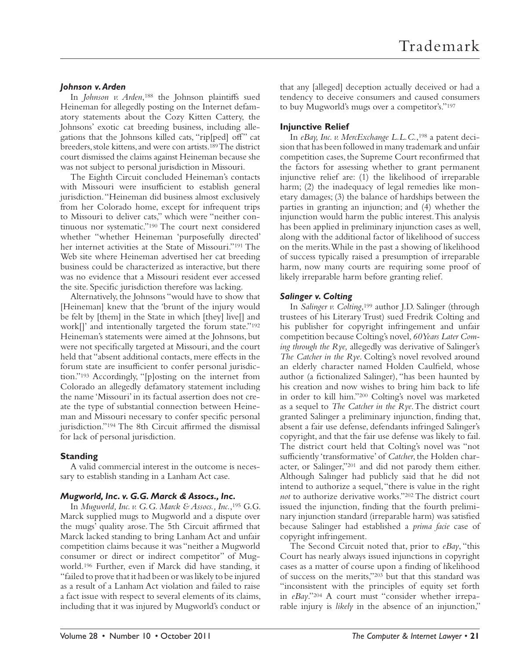#### *Johnson v. Arden*

In *Johnson v. Arden*,<sup>188</sup> the Johnson plaintiffs sued Heineman for allegedly posting on the Internet defamatory statements about the Cozy Kitten Cattery, the Johnsons' exotic cat breeding business, including allegations that the Johnsons killed cats, "rip[ped] off" cat breeders, stole kittens, and were con artists. 189 The district court dismissed the claims against Heineman because she was not subject to personal jurisdiction in Missouri.

The Eighth Circuit concluded Heineman's contacts with Missouri were insufficient to establish general jurisdiction. "Heineman did business almost exclusively from her Colorado home, except for infrequent trips to Missouri to deliver cats," which were "neither continuous nor systematic."<sup>190</sup> The court next considered whether "whether Heineman 'purposefully directed' her internet activities at the State of Missouri."<sup>191</sup> The Web site where Heineman advertised her cat breeding business could be characterized as interactive, but there was no evidence that a Missouri resident ever accessed the site. Specific jurisdiction therefore was lacking.

Alternatively, the Johnsons "would have to show that [Heineman] knew that the 'brunt of the injury would be felt by [them] in the State in which [they] live[] and work<sup>[]</sup>' and intentionally targeted the forum state."<sup>192</sup> Heineman's statements were aimed at the Johnsons, but were not specifically targeted at Missouri, and the court held that "absent additional contacts, mere effects in the forum state are insufficient to confer personal jurisdiction." 193 Accordingly, "[p]osting on the internet from Colorado an allegedly defamatory statement including the name 'Missouri' in its factual assertion does not create the type of substantial connection between Heineman and Missouri necessary to confer specific personal jurisdiction."<sup>194</sup> The 8th Circuit affirmed the dismissal for lack of personal jurisdiction.

#### **Standing**

A valid commercial interest in the outcome is necessary to establish standing in a Lanham Act case.

#### *Mugworld, Inc. v. G.G. Marck & Assocs., Inc.*

In *Mugworld, Inc. v. G.G. Marck & Assocs., Inc.*, 195 G.G. Marck supplied mugs to Mugworld and a dispute over the mugs' quality arose. The 5th Circuit affirmed that Marck lacked standing to bring Lanham Act and unfair competition claims because it was "neither a Mugworld consumer or direct or indirect competitor" of Mugworld. 196 Further, even if Marck did have standing, it "failed to prove that it had been or was likely to be injured as a result of a Lanham Act violation and failed to raise a fact issue with respect to several elements of its claims, including that it was injured by Mugworld's conduct or

that any [alleged] deception actually deceived or had a tendency to deceive consumers and caused consumers to buy Mugworld's mugs over a competitor's." 197

# **Injunctive Relief**

In eBay, Inc. v. MercExchange L.L.C.,<sup>198</sup> a patent decision that has been followed in many trademark and unfair competition cases, the Supreme Court reconfirmed that the factors for assessing whether to grant permanent injunctive relief are: (1) the likelihood of irreparable harm; (2) the inadequacy of legal remedies like monetary damages; (3) the balance of hardships between the parties in granting an injunction; and (4) whether the injunction would harm the public interest. This analysis has been applied in preliminary injunction cases as well, along with the additional factor of likelihood of success on the merits. While in the past a showing of likelihood of success typically raised a presumption of irreparable harm, now many courts are requiring some proof of likely irreparable harm before granting relief.

# *Salinger v. Colting*

In *Salinger v. Colting*, 199 author J.D. Salinger (through trustees of his Literary Trust) sued Fredrik Colting and his publisher for copyright infringement and unfair competition because Colting's novel, *60 Years Later Coming through the Rye,* allegedly was derivative of Salinger's *The Catcher in the Rye*. Colting's novel revolved around an elderly character named Holden Caulfield, whose author (a fictionalized Salinger), "has been haunted by his creation and now wishes to bring him back to life in order to kill him."<sup>200</sup> Colting's novel was marketed as a sequel to *The Catcher in the Rye*. The district court granted Salinger a preliminary injunction, finding that, absent a fair use defense, defendants infringed Salinger's copyright, and that the fair use defense was likely to fail. The district court held that Colting's novel was "not sufficiently 'transformative' of *Catcher*, the Holden character, or Salinger,"<sup>201</sup> and did not parody them either. Although Salinger had publicly said that he did not intend to authorize a sequel, "there is value in the right *not* to authorize derivative works." 202 The district court issued the injunction, finding that the fourth preliminary injunction standard (irreparable harm) was satisfied because Salinger had established a *prima facie* case of copyright infringement.

The Second Circuit noted that, prior to *eBay*, "this Court has nearly always issued injunctions in copyright cases as a matter of course upon a finding of likelihood of success on the merits,"<sup>203</sup> but that this standard was "inconsistent with the principles of equity set forth in eBay."<sup>204</sup> A court must "consider whether irreparable injury is *likely* in the absence of an injunction,"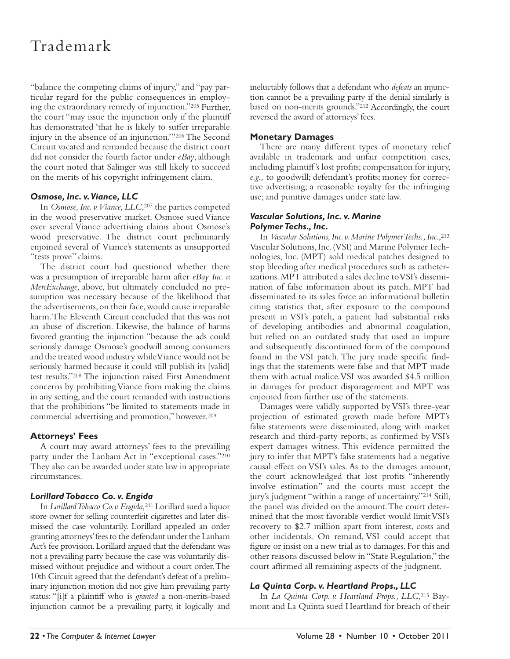"balance the competing claims of injury," and "pay particular regard for the public consequences in employing the extraordinary remedy of injunction." 205 Further, the court "may issue the injunction only if the plaintiff has demonstrated 'that he is likely to suffer irreparable injury in the absence of an injunction." 206 The Second Circuit vacated and remanded because the district court did not consider the fourth factor under *eBay*, although the court noted that Salinger was still likely to succeed on the merits of his copyright infringement claim.

# *Osmose, Inc. v. Viance, LLC*

In *Osmose, Inc. v. Viance, LLC*, 207 the parties competed in the wood preservative market. Osmose sued Viance over several Viance advertising claims about Osmose's wood preservative. The district court preliminarily enjoined several of Viance's statements as unsupported "tests prove" claims.

The district court had questioned whether there was a presumption of irreparable harm after *eBay Inc. v. MercExchange*, above, but ultimately concluded no presumption was necessary because of the likelihood that the advertisements, on their face, would cause irreparable harm. The Eleventh Circuit concluded that this was not an abuse of discretion. Likewise, the balance of harms favored granting the injunction "because the ads could seriously damage Osmose's goodwill among consumers and the treated wood industry while Viance would not be seriously harmed because it could still publish its [valid] test results." 208 The injunction raised First Amendment concerns by prohibiting Viance from making the claims in any setting, and the court remanded with instructions that the prohibitions "be limited to statements made in commercial advertising and promotion," however. 209

# **Attorneys' Fees**

A court may award attorneys' fees to the prevailing party under the Lanham Act in "exceptional cases."210 They also can be awarded under state law in appropriate circumstances.

# *Lorillard Tobacco Co. v. Engida*

In *Lorillard Tobacco Co. v. Engida,*211 Lorillard sued a liquor store owner for selling counterfeit cigarettes and later dismissed the case voluntarily. Lorillard appealed an order granting attorneys' fees to the defendant under the Lanham Act's fee provision. Lorillard argued that the defendant was not a prevailing party because the case was voluntarily dismissed without prejudice and without a court order. The 10th Circuit agreed that the defendant's defeat of a preliminary injunction motion did not give him prevailing party status: "[i]f a plaintiff who is *granted* a non-merits-based injunction cannot be a prevailing party, it logically and

ineluctably follows that a defendant who *defeats* an injunction cannot be a prevailing party if the denial similarly is based on non-merits grounds."<sup>212</sup> Accordingly, the court reversed the award of attorneys' fees.

# **Monetary Damages**

There are many different types of monetary relief available in trademark and unfair competition cases, including plaintiff's lost profits; compensation for injury, e.g., to goodwill; defendant's profits; money for corrective advertising; a reasonable royalty for the infringing use; and punitive damages under state law.

#### *Vascular Solutions, Inc. v. Marine Polymer Techs., Inc.*

In *Vascular Solutions, Inc. v. Marine Polymer Techs., Inc*., 213 Vascular Solutions, Inc. (VSI) and Marine Polymer Technologies, Inc. (MPT) sold medical patches designed to stop bleeding after medical procedures such as catheterizations. MPT attributed a sales decline to VSI's dissemination of false information about its patch. MPT had disseminated to its sales force an informational bulletin citing statistics that, after exposure to the compound present in VSI's patch, a patient had substantial risks of developing antibodies and abnormal coagulation, but relied on an outdated study that used an impure and subsequently discontinued form of the compound found in the VSI patch. The jury made specific findings that the statements were false and that MPT made them with actual malice. VSI was awarded \$4.5 million in damages for product disparagement and MPT was enjoined from further use of the statements.

Damages were validly supported by VSI's three-year projection of estimated growth made before MPT's false statements were disseminated, along with market research and third-party reports, as confirmed by VSI's expert damages witness. This evidence permitted the jury to infer that MPT's false statements had a negative causal effect on VSI's sales. As to the damages amount, the court acknowledged that lost profits "inherently involve estimation" and the courts must accept the jury's judgment "within a range of uncertainty."<sup>214</sup> Still, the panel was divided on the amount. The court determined that the most favorable verdict would limit VSI's recovery to \$2.7 million apart from interest, costs and other incidentals. On remand, VSI could accept that figure or insist on a new trial as to damages. For this and other reasons discussed below in "State Regulation," the court affirmed all remaining aspects of the judgment.

# *La Quinta Corp. v. Heartland Props., LLC*

In *La Quinta Corp. v. Heartland Props., LLC,*215 Baymont and La Quinta sued Heartland for breach of their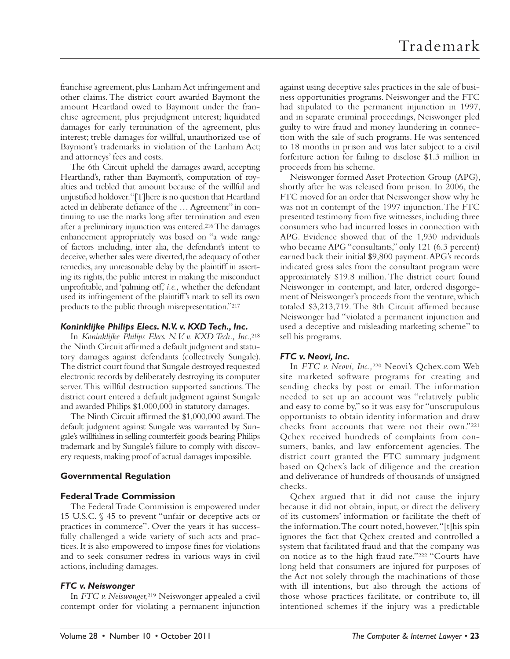franchise agreement, plus Lanham Act infringement and other claims. The district court awarded Baymont the amount Heartland owed to Baymont under the franchise agreement, plus prejudgment interest; liquidated damages for early termination of the agreement, plus interest; treble damages for willful, unauthorized use of Baymont's trademarks in violation of the Lanham Act; and attorneys' fees and costs.

The 6th Circuit upheld the damages award, accepting Heartland's, rather than Baymont's, computation of royalties and trebled that amount because of the willful and unjustified holdover. "[T]here is no question that Heartland acted in deliberate defiance of the ... Agreement" in continuing to use the marks long after termination and even after a preliminary injunction was entered. 216 The damages enhancement appropriately was based on "a wide range of factors including, inter alia, the defendant's intent to deceive, whether sales were diverted, the adequacy of other remedies, any unreasonable delay by the plaintiff in asserting its rights, the public interest in making the misconduct unprofitable, and 'palming off,' *i.e.*, whether the defendant used its infringement of the plaintiff 's mark to sell its own products to the public through misrepresentation."217

#### *Koninklijke Philips Elecs. N.V. v. KXD Tech., Inc.*

In *Koninklijke Philips Elecs. N.V. v. KXD Tech., Inc*., 218 the Ninth Circuit affirmed a default judgment and statutory damages against defendants (collectively Sungale). The district court found that Sungale destroyed requested electronic records by deliberately destroying its computer server. This willful destruction supported sanctions. The district court entered a default judgment against Sungale and awarded Philips \$1,000,000 in statutory damages.

The Ninth Circuit affirmed the \$1,000,000 award. The default judgment against Sungale was warranted by Sungale's willfulness in selling counterfeit goods bearing Philips trademark and by Sungale's failure to comply with discovery requests, making proof of actual damages impossible.

# **Governmental Regulation**

# **Federal Trade Commission**

The Federal Trade Commission is empowered under 15 U.S.C. § 45 to prevent "unfair or deceptive acts or practices in commerce". Over the years it has successfully challenged a wide variety of such acts and practices. It is also empowered to impose fines for violations and to seek consumer redress in various ways in civil actions, including damages.

# *FTC v. Neiswonger*

In *FTC v. Neiswonger,*219 Neiswonger appealed a civil contempt order for violating a permanent injunction

against using deceptive sales practices in the sale of business opportunities programs. Neiswonger and the FTC had stipulated to the permanent injunction in 1997, and in separate criminal proceedings, Neiswonger pled guilty to wire fraud and money laundering in connection with the sale of such programs. He was sentenced to 18 months in prison and was later subject to a civil forfeiture action for failing to disclose \$1.3 million in proceeds from his scheme.

Neiswonger formed Asset Protection Group (APG), shortly after he was released from prison. In 2006, the FTC moved for an order that Neiswonger show why he was not in contempt of the 1997 injunction. The FTC presented testimony from five witnesses, including three consumers who had incurred losses in connection with APG. Evidence showed that of the 1,930 individuals who became APG "consultants," only 121 (6.3 percent) earned back their initial \$9,800 payment. APG's records indicated gross sales from the consultant program were approximately \$19.8 million. The district court found Neiswonger in contempt, and later, ordered disgorgement of Neiswonger's proceeds from the venture, which totaled \$3,213,719. The 8th Circuit affirmed because Neiswonger had "violated a permanent injunction and used a deceptive and misleading marketing scheme" to sell his programs.

# *FTC v. Neovi, Inc.*

In *FTC v. Neovi, Inc.,*220 Neovi's Qchex.com Web site marketed software programs for creating and sending checks by post or email. The information needed to set up an account was "relatively public and easy to come by," so it was easy for "unscrupulous opportunists to obtain identity information and draw checks from accounts that were not their own."221 Qchex received hundreds of complaints from consumers, banks, and law enforcement agencies. The district court granted the FTC summary judgment based on Qchex's lack of diligence and the creation and deliverance of hundreds of thousands of unsigned checks.

Qchex argued that it did not cause the injury because it did not obtain, input, or direct the delivery of its customers' information or facilitate the theft of the information. The court noted, however, "[t]his spin ignores the fact that Qchex created and controlled a system that facilitated fraud and that the company was on notice as to the high fraud rate."<sup>222</sup> "Courts have long held that consumers are injured for purposes of the Act not solely through the machinations of those with ill intentions, but also through the actions of those whose practices facilitate, or contribute to, ill intentioned schemes if the injury was a predictable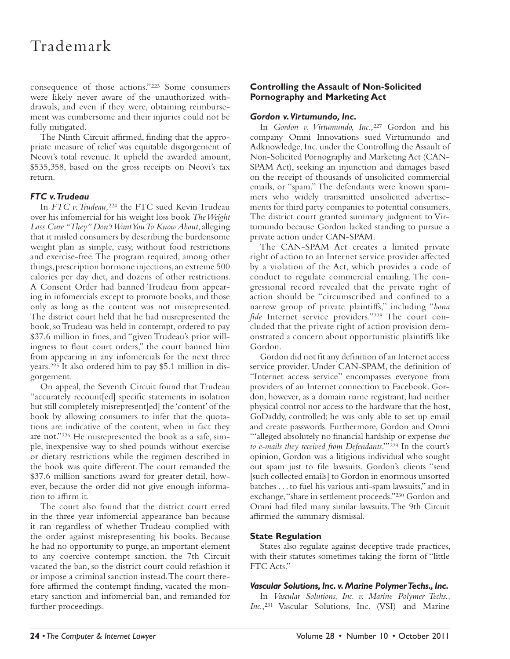consequence of those actions." 223 Some consumers were likely never aware of the unauthorized withdrawals, and even if they were, obtaining reimbursement was cumbersome and their injuries could not be fully mitigated.

The Ninth Circuit affirmed, finding that the appropriate measure of relief was equitable disgorgement of Neovi's total revenue. It upheld the awarded amount, \$535,358, based on the gross receipts on Neovi's tax return.

# *FTC v. Trudeau*

In *FTC v. Trudeau,*224 the FTC sued Kevin Trudeau over his infomercial for his weight loss book *The Weight Loss Cure "They" Don't Want You To Know About*, alleging that it misled consumers by describing the burdensome weight plan as simple, easy, without food restrictions and exercise-free. The program required, among other things, prescription hormone injections, an extreme 500 calories per day diet, and dozens of other restrictions. A Consent Order had banned Trudeau from appearing in infomercials except to promote books, and those only as long as the content was not misrepresented. The district court held that he had misrepresented the book, so Trudeau was held in contempt, ordered to pay \$37.6 million in fines, and "given Trudeau's prior willingness to flout court orders," the court banned him from appearing in any infomercials for the next three years. 225 It also ordered him to pay \$5.1 million in disgorgement.

On appeal, the Seventh Circuit found that Trudeau "accurately recount[ed] specific statements in isolation but still completely misrepresent[ed] the 'content' of the book by allowing consumers to infer that the quotations are indicative of the content, when in fact they are not." 226 He misrepresented the book as a safe, simple, inexpensive way to shed pounds without exercise or dietary restrictions while the regimen described in the book was quite different. The court remanded the \$37.6 million sanctions award for greater detail, however, because the order did not give enough information to affirm it.

The court also found that the district court erred in the three year infomercial appearance ban because it ran regardless of whether Trudeau complied with the order against misrepresenting his books. Because he had no opportunity to purge, an important element to any coercive contempt sanction, the 7th Circuit vacated the ban, so the district court could refashion it or impose a criminal sanction instead. The court therefore affirmed the contempt finding, vacated the monetary sanction and infomercial ban, and remanded for further proceedings.

# **Controlling the Assault of Non-Solicited Pornography and Marketing Act**

# *Gordon v. Virtumundo, Inc.*

In *Gordon v. Virtumundo, Inc.,*227 Gordon and his company Omni Innovations sued Virtumundo and Adknowledge, Inc. under the Controlling the Assault of Non-Solicited Pornography and Marketing Act (CAN-SPAM Act), seeking an injunction and damages based on the receipt of thousands of unsolicited commercial emails, or "spam." The defendants were known spammers who widely transmitted unsolicited advertisements for third party companies to potential consumers. The district court granted summary judgment to Virtumundo because Gordon lacked standing to pursue a private action under CAN-SPAM.

The CAN-SPAM Act creates a limited private right of action to an Internet service provider affected by a violation of the Act, which provides a code of conduct to regulate commercial emailing. The congressional record revealed that the private right of action should be "circumscribed and confined to a narrow group of private plaintiffs," including "bona fide Internet service providers."<sup>228</sup> The court concluded that the private right of action provision demonstrated a concern about opportunistic plaintiffs like Gordon.

Gordon did not fit any definition of an Internet access service provider. Under CAN-SPAM, the definition of "Internet access service" encompasses everyone from providers of an Internet connection to Facebook. Gordon, however, as a domain name registrant, had neither physical control nor access to the hardware that the host, GoDaddy, controlled; he was only able to set up email and create passwords. Furthermore, Gordon and Omni "alleged absolutely no financial hardship or expense due *to e-mails they received from Defendants*.'" 229 In the court's opinion, Gordon was a litigious individual who sought out spam just to file lawsuits. Gordon's clients "send [such collected emails] to Gordon in enormous unsorted batches . . . to fuel his various anti-spam lawsuits," and in exchange, "share in settlement proceeds."<sup>230</sup> Gordon and Omni had filed many similar lawsuits. The 9th Circuit affirmed the summary dismissal.

# **State Regulation**

States also regulate against deceptive trade practices, with their statutes sometimes taking the form of "little FTC Acts."

# *Vascular Solutions, Inc. v. Marine Polymer Techs., Inc.*

In *Vascular Solutions, Inc. v. Marine Polymer Techs., Inc*., 231 Vascular Solutions, Inc. (VSI) and Marine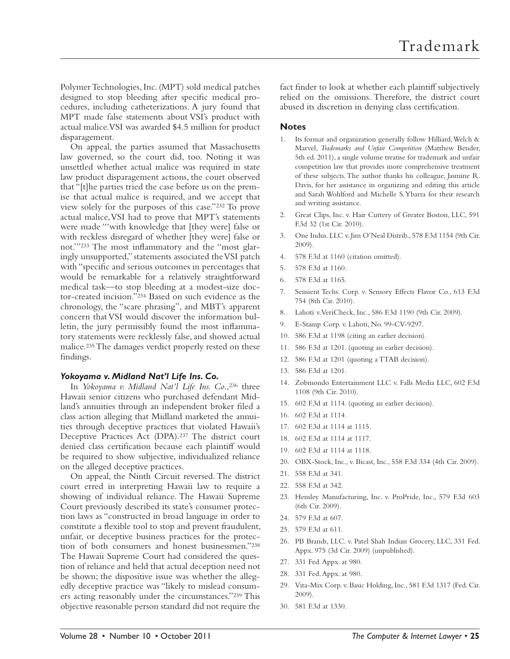Polymer Technologies, Inc. (MPT) sold medical patches designed to stop bleeding after specific medical procedures, including catheterizations. A jury found that MPT made false statements about VSI's product with actual malice. VSI was awarded \$4.5 million for product disparagement.

On appeal, the parties assumed that Massachusetts law governed, so the court did, too. Noting it was unsettled whether actual malice was required in state law product disparagement actions, the court observed that "[t]he parties tried the case before us on the premise that actual malice is required, and we accept that view solely for the purposes of this case." 232 To prove actual malice, VSI had to prove that MPT's statements were made "'with knowledge that [they were] false or with reckless disregard of whether [they were] false or not." 233 The most inflammatory and the "most glaringly unsupported," statements associated the VSI patch with "specific and serious outcomes in percentages that would be remarkable for a relatively straightforward medical task—to stop bleeding at a modest-size doctor-created incision." 234 Based on such evidence as the chronology, the "scare phrasing", and MBT's apparent concern that VSI would discover the information bulletin, the jury permissibly found the most inflammatory statements were recklessly false, and showed actual malice. 235 The damages verdict properly rested on these findings.

#### *Yokoyama v. Midland Nat'l Life Ins. Co.*

In *Yokoyama v. Midland Nat'l Life Ins. Co*., 236 three Hawaii senior citizens who purchased defendant Midland's annuities through an independent broker filed a class action alleging that Midland marketed the annuities through deceptive practices that violated Hawaii's Deceptive Practices Act (DPA).<sup>237</sup> The district court denied class certification because each plaintiff would be required to show subjective, individualized reliance on the alleged deceptive practices.

On appeal, the Ninth Circuit reversed. The district court erred in interpreting Hawaii law to require a showing of individual reliance. The Hawaii Supreme Court previously described its state's consumer protection laws as "constructed in broad language in order to constitute a flexible tool to stop and prevent fraudulent, unfair, or deceptive business practices for the protection of both consumers and honest businessmen."<sup>238</sup> The Hawaii Supreme Court had considered the question of reliance and held that actual deception need not be shown; the dispositive issue was whether the allegedly deceptive practice was "likely to mislead consumers acting reasonably under the circumstances."<sup>239</sup> This objective reasonable person standard did not require the

fact finder to look at whether each plaintiff subjectively relied on the omissions. Therefore, the district court abused its discretion in denying class certification.

#### **Notes**

- 1. Its format and organization generally follow Hilliard, Welch & Marvel, *Trademarks and Unfair Competition* (Matthew Bender, 5th ed. 2011), a single volume treatise for trademark and unfair competition law that provides more comprehensive treatment of these subjects. The author thanks his colleague, Jasmine R. Davis, for her assistance in organizing and editing this article and Sarah Wohlford and Michelle S. Ybarra for their research and writing assistance.
- 2. Great Clips, Inc. v. Hair Cuttery of Greater Boston, LLC, 591 F.3d 32 (1st Cir. 2010).
- 3. One Indus. LLC v. Jim O'Neal Distrib.,578 F.3d 1154 (9th Cir. 2009).
- 4. 578 F.3d at 1160 (citation omitted).
- 5. 578 F.3d at 1160.
- 6. 578 F.3d at 1165.
- 7. Sensient Techs. Corp. v. Sensory Effects Flavor Co.,613 F.3d 754 (8th Cir. 2010).
- 8. Lahoti v. VeriCheck, Inc., 586 F.3d 1190 (9th Cir. 2009).
- 9. E-Stamp Corp. v. Lahoti, No. 99-CV-9297.
- 10. 586 F.3d at 1198 (citing an earlier decision).
- 11. 586 F.3d at 1201. (quoting an earlier decision).
- 12. 586 F.3d at 1201 (quoting a TTAB decision).
- 13. 586 F.3d at 1201 *.*
- 14. Zobmondo Entertainment LLC v. Falls Media LLC, 602 F.3d 1108 (9th Cir. 2010).
- 15. 602 F.3d at 1114. (quoting an earlier decision).
- 16. 602 F.3d at 1114 *.*
- 17. 602 F.3d at 1114at 1115.
- 18. 602 F.3d at 1114at 1117.
- 19. 602 F.3d at 1114at 1118.
- 20. OBX-Stock, Inc., v. Bicast, Inc., 558 F.3d 334 (4th Cir. 2009).
- 21. 558 F.3d at 341.
- 22. 558 F.3d at 342.
- 23. Hensley Manufacturing, Inc. v. ProPride, Inc.,579 F.3d 603 (6th Cir. 2009).
- 24. 579 F.3d at 607.
- 25. 579 F.3d at 611.
- 26. PB Brands, LLC. v. Patel Shah Indian Grocery, LLC, 331 Fed. Appx. 975 (3d Cir. 2009) (unpublished).
- 27. 331 Fed. Appx. at 980.
- 28. 331 Fed. Appx. at 980.
- 29. Vita-Mix Corp. v. Basic Holding, Inc., 581 F.3d 1317 (Fed. Cir. 2009).
- 30. 581 F.3d at 1330.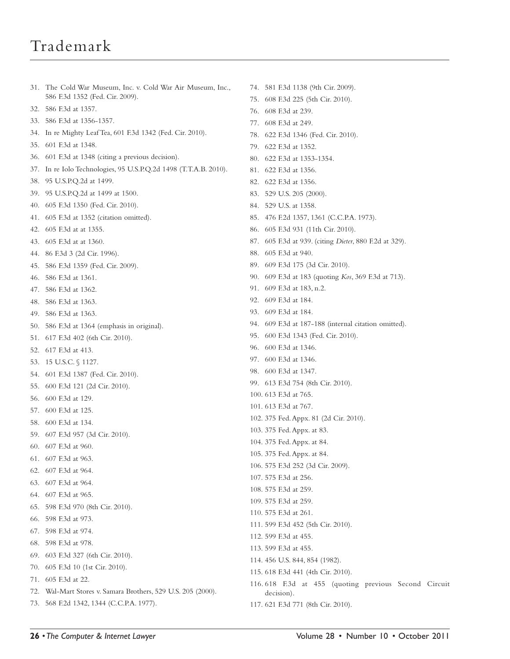# Trademark

586 F.3d 1352 (Fed. Cir. 2009). 32. 586 F.3d at 1357. 33. 586 F.3d at 1356-1357. 34. In re Mighty Leaf Tea, 601 F.3d 1342 (Fed. Cir. 2010). 35. 601 F.3dat 1348. 36. 601 F.3d at 1348 (citing a previous decision). 37. In re Iolo Technologies, 95 U.S.P.Q.2d 1498 (T.T.A.B. 2010). 38. 95 U.S.P.Q.2d at 1499. 39. 95 U.S.P.Q.2d at 1499 at 1500. 40. 605 F.3d 1350 (Fed. Cir. 2010). 41. 605 F.3d at 1352 (citation omitted). 42. 605 F.3d at at 1355. 43. 605 F.3d at at 1360. 44. 86 F.3d 3 (2d Cir. 1996). 45. 586 F.3d 1359 (Fed. Cir. 2009). 46. 586 F.3d at 1361. 47. 586 F.3d at 1362. 48. 586 F.3d at 1363. 49. 586 F.3d at 1363. 50. 586 F.3d at 1364 (emphasis in original). 51. 617 F.3d 402 (6th Cir. 2010). 52. 617 F.3d at 413. 53. 15 U.S.C. § 1127. 54. 601 F.3d 1387 (Fed. Cir. 2010). 55. 600 F.3d 121 (2d Cir. 2010). 56. 600 F.3dat 129. 57. 600 F.3dat 125. 58. 600 F.3dat 134. 59. 607 F.3d 957 (3d Cir. 2010). 60. 607 F.3d at 960.

31. The Cold War Museum, Inc. v. Cold War Air Museum, Inc.,

- 61. 607 F.3d at 963.
- 62. 607 F.3d at 964.
- 63. 607 F.3d at 964.
- 64. 607 F.3d at 965.
- 65. 598 F.3d 970 (8th Cir. 2010).
- 66. 598 F.3d at 973.
- 67. 598 F.3d at 974.
- 68. 598 F.3d at 978.
- 69. 603 F.3d 327 (6th Cir. 2010).
- 70. 605 F.3d 10 (1st Cir. 2010).
- 71. 605 F.3d at 22.
- 72. Wal-Mart Stores v. Samara Brothers, 529 U.S. 205 (2000).
- 73. 568 F.2d 1342, 1344 (C.C.P.A. 1977).
- 74. 581 F.3d 1138 (9th Cir. 2009).
- 75. 608 F.3d 225 (5th Cir. 2010).
- 76. 608 F.3d at 239.
- 77. 608 F.3d at 249.
- 78. 622 F.3d 1346 (Fed. Cir. 2010).
- 79. 622 F.3d at 1352.
- 80. 622 F.3d at 1353-1354.
- 81. 622 F.3d at 1356.
- 82. 622 F.3d at 1356.
- 83. 529 U.S. 205 (2000).
- 84. 529 U.S. at 1358.
- 85. 476 F.2d 1357, 1361 (C.C.P.A. 1973).
- 86. 605 F.3d 931 (11th Cir. 2010).
- 87. 605 F.3d at 939. (citing *Dieter*, 880 F.2d at 329).
- 88. 605 F.3d at 940.
- 89. 609 F.3d 175 (3d Cir. 2010).
- 90. 609 F.3d at 183 (quoting *Kos*, 369 F.3d at 713).
- 91. 609 F.3d at 183, n.2.
- 92. 609 F.3d at 184.
- 93. 609 F.3d at 184.
- 94. 609 F.3d at 187-188 (internal citation omitted).
- 95. 600 F.3d 1343 (Fed. Cir. 2010).
- 96. 600 F.3d at 1346.
- 97. 600 F.3d at 1346 *.*
- 98. 600 F.3d at 1347.
- 99. 613 F.3d 754 (8th Cir. 2010).
- 100. 613 F.3d at 765.
- 101. 613 F.3d at 767.
- 102. 375 Fed. Appx. 81 (2d Cir. 2010).
- 103. 375 Fed. Appx. at 83.
- 104. 375 Fed. Appx. at 84.
- 105. 375 Fed. Appx. at 84.
- 106. 575 F.3d 252 (3d Cir. 2009).
- 107. 575 F.3d at 256.
- 108. 575 F.3d at 259.
- 109. 575 F.3d at 259.
- 110. 575 F.3d at 261.
- 111. 599 F.3d 452 (5th Cir. 2010).
- 112. 599 F.3d at 455.
- 113. 599 F.3d at 455 *.*
- 114. 456 U.S. 844, 854 (1982).
- 115. 618 F.3d 441 (4th Cir. 2010).
- 116. 618 F.3d at 455 (quoting previous Second Circuit decision).
- 117. 621 F.3d 771 (8th Cir. 2010).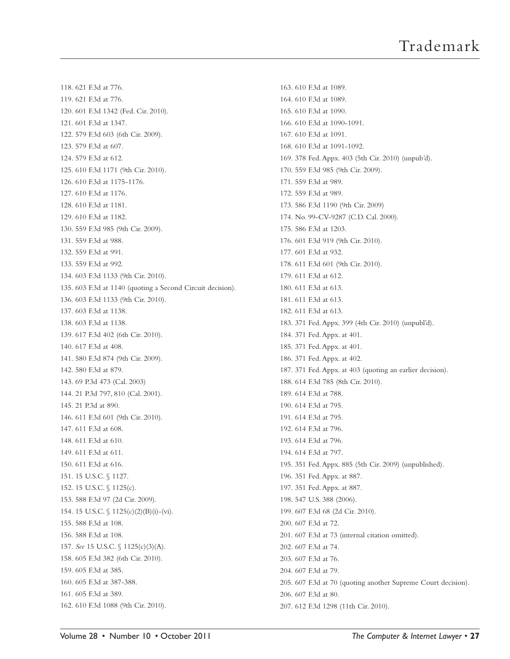118. 621 F.3d at 776. 119. 621 F.3d at 776 *.* 120. 601 F.3d 1342 (Fed. Cir. 2010). 121. 601 F.3d at 1347. 122. 579 F.3d 603 (6th Cir. 2009). 123. 579 F.3d at 607. 124. 579 F.3d at 612. 125. 610 F.3d 1171 (9th Cir. 2010). 126. 610 F.3d at 1175-1176. 127. 610 F.3d at 1176. 128. 610 F.3d at 1181. 129. 610 F.3d at 1182. 130. 559 F.3d 985 (9th Cir. 2009). 131. 559 F.3d at 988. 132. 559 F.3d at 991. 133. 559 F.3d at 992. 134. 603 F.3d 1133 (9th Cir. 2010). 135. 603 F.3d at 1140 (quoting a Second Circuit decision). 136. 603 F.3d 1133 (9th Cir. 2010). 137. 603 F.3d at 1138. 138. 603 F.3d at 1138 *.* 139. 617 F.3d 402 (6th Cir. 2010). 140. 617 F.3d at 408. 141. 580 F.3d 874 (9th Cir. 2009). 142. 580 F.3d at 879. 143. 69 P.3d 473 (Cal. 2003) 144. 21 P.3d 797, 810 (Cal. 2001). 145. 21 P.3d at 890. 146. 611 F.3d 601 (9th Cir. 2010). 147. 611 F.3d at 608. 148. 611 F.3d at 610. 149. 611 F.3d at 611. 150. 611 F.3d at 616. 151. 15 U.S.C. § 1127. 152. 15 U.S.C. § 1125(c). 153. 588 F.3d 97 (2d Cir. 2009). 154. 15 U.S.C. § 1125(c)(2)(B)(i)-(vi). 155. 588 F.3d at 108. 156. 588 F.3d at 108 *.* 157. *See* 15 U.S.C. § 1125(c)(3)(A). 158. 605 F.3d 382 (6th Cir. 2010). 159. 605 F.3d at 385. 160. 605 F.3d at 387-388. 161. 605 F.3d at 389. 162. 610 F.3d 1088 (9th Cir. 2010).

163. 610 F.3d at 1089. 164. 610 F.3d at 1089. 165. 610 F.3d at 1090. 166. 610 F.3d at 1090-1091. 167. 610 F.3d at 1091. 168. 610 F.3d at 1091-1092. 169. 378 Fed. Appx. 403 (5th Cir. 2010) (unpub'd). 170. 559 F.3d 985 (9th Cir. 2009). 171. 559 F.3d at 989. 172. 559 F.3d at 989 *.* 173. 586 F.3d 1190 (9th Cir. 2009) 174. No. 99-CV-9287 (C.D. Cal. 2000). 175. 586 F.3d at 1203. 176. 601 F.3d 919 (9th Cir. 2010). 177. 601 F.3d at 932. 178. 611 F.3d 601 (9th Cir. 2010). 179. 611 F.3d at 612. 180. 611 F.3d at 613. 181. 611 F.3d at 613. 182. 611 F.3d at 613. 183. 371 Fed. Appx. 399 (4th Cir. 2010) (unpubl'd). 184. 371 Fed. Appx.at 401. 185. 371 Fed. Appx. at 401. 186. 371 Fed. Appx.at 402. 187. 371 Fed. Appx.at 403 (quoting an earlier decision). 188. 614 F.3d 785 (8th Cir. 2010). 189. 614 F.3d at 788. 190. 614 F.3d at 795. 191. 614 F.3d at 795. 192. 614 F.3d at 796. 193. 614 F.3d at 796. 194. 614 F.3d at 797. 195. 351 Fed. Appx. 885 (5th Cir. 2009) (unpublished). 196. 351 Fed. Appx. at 887. 197. 351 Fed. Appx. at 887. 198. 547 U.S. 388 (2006). 199. 607 F.3d 68 (2d Cir. 2010). 200. 607 F.3d at 72. 201. 607 F.3d at 73 (internal citation omitted). 202. 607 F.3d at 74. 203. 607 F.3d at 76. 204. 607 F.3d at 79. 205. 607 F.3d at 70 (quoting another Supreme Court decision). 206. 607 F.3d at 80. 207. 612 F.3d 1298 (11th Cir. 2010).